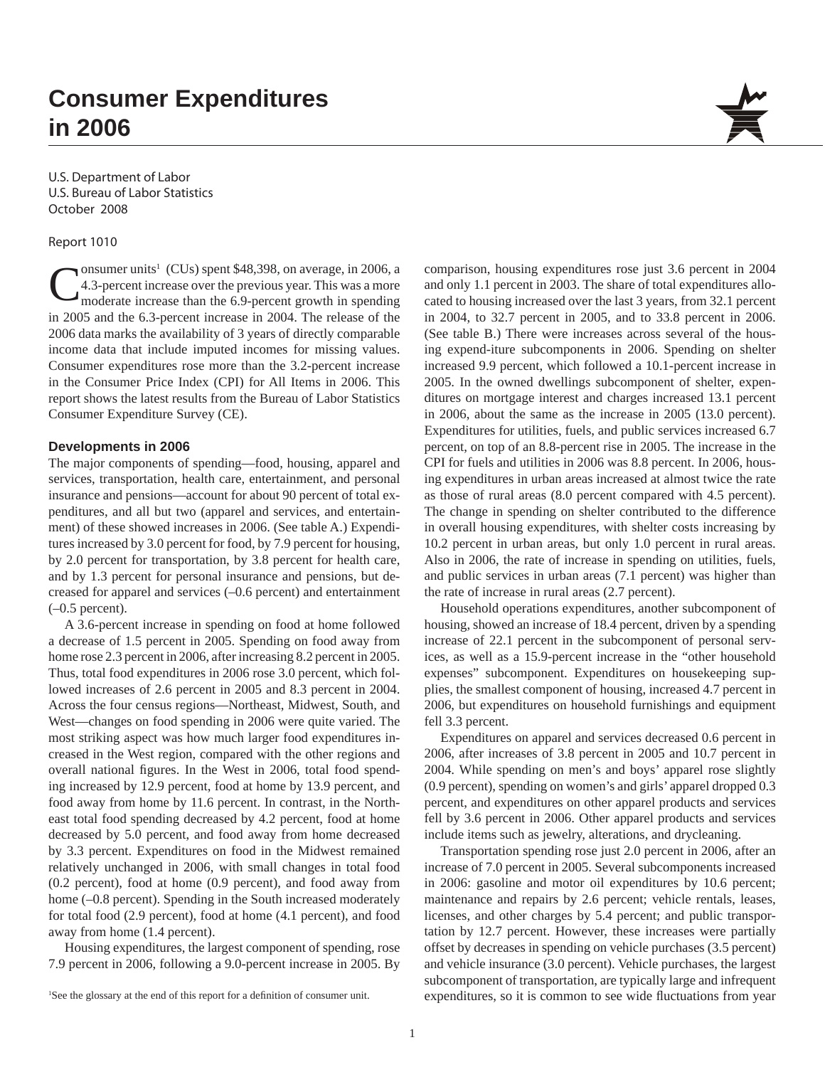# **Consumer Expenditures in 2006**

U.S. Department of Labor U.S. Bureau of Labor Statistics October 2008

Report 1010

Consumer units<sup>1</sup> (CUs) spent \$48,398, on average, in 2006, a 4.3-percent increase over the previous year. This was a more moderate increase than the 6.9-percent growth in spending onsumer units<sup>1</sup> (CUs) spent \$48,398, on average, in 2006, a 4.3-percent increase over the previous year. This was a more in 2005 and the 6.3-percent increase in 2004. The release of the 2006 data marks the availability of 3 years of directly comparable income data that include imputed incomes for missing values. Consumer expenditures rose more than the 3.2-percent increase in the Consumer Price Index (CPI) for All Items in 2006. This report shows the latest results from the Bureau of Labor Statistics Consumer Expenditure Survey (CE).

## **Developments in 2006**

The major components of spending—food, housing, apparel and services, transportation, health care, entertainment, and personal insurance and pensions—account for about 90 percent of total expenditures, and all but two (apparel and services, and entertainment) of these showed increases in 2006. (See table A.) Expenditures increased by 3.0 percent for food, by 7.9 percent for housing, by 2.0 percent for transportation, by 3.8 percent for health care, and by 1.3 percent for personal insurance and pensions, but decreased for apparel and services (–0.6 percent) and entertainment  $(-0.5$  percent).

A 3.6-percent increase in spending on food at home followed a decrease of 1.5 percent in 2005. Spending on food away from home rose 2.3 percent in 2006, after increasing 8.2 percent in 2005. Thus, total food expenditures in 2006 rose 3.0 percent, which followed increases of 2.6 percent in 2005 and 8.3 percent in 2004. Across the four census regions—Northeast, Midwest, South, and West—changes on food spending in 2006 were quite varied. The most striking aspect was how much larger food expenditures increased in the West region, compared with the other regions and overall national figures. In the West in 2006, total food spending increased by 12.9 percent, food at home by 13.9 percent, and food away from home by 11.6 percent. In contrast, in the Northeast total food spending decreased by 4.2 percent, food at home decreased by 5.0 percent, and food away from home decreased by 3.3 percent. Expenditures on food in the Midwest remained relatively unchanged in 2006, with small changes in total food (0.2 percent), food at home (0.9 percent), and food away from home (–0.8 percent). Spending in the South increased moderately for total food (2.9 percent), food at home (4.1 percent), and food away from home (1.4 percent).

Housing expenditures, the largest component of spending, rose 7.9 percent in 2006, following a 9.0-percent increase in 2005. By

comparison, housing expenditures rose just 3.6 percent in 2004 and only 1.1 percent in 2003. The share of total expenditures allocated to housing increased over the last 3 years, from 32.1 percent in 2004, to 32.7 percent in 2005, and to 33.8 percent in 2006. (See table B.) There were increases across several of the housing expend-iture subcomponents in 2006. Spending on shelter increased 9.9 percent, which followed a 10.1-percent increase in 2005. In the owned dwellings subcomponent of shelter, expenditures on mortgage interest and charges increased 13.1 percent in 2006, about the same as the increase in 2005 (13.0 percent). Expenditures for utilities, fuels, and public services increased 6.7 percent, on top of an 8.8-percent rise in 2005. The increase in the CPI for fuels and utilities in 2006 was 8.8 percent. In 2006, housing expenditures in urban areas increased at almost twice the rate as those of rural areas (8.0 percent compared with 4.5 percent). The change in spending on shelter contributed to the difference in overall housing expenditures, with shelter costs increasing by 10.2 percent in urban areas, but only 1.0 percent in rural areas. Also in 2006, the rate of increase in spending on utilities, fuels, and public services in urban areas (7.1 percent) was higher than the rate of increase in rural areas (2.7 percent).

Household operations expenditures, another subcomponent of housing, showed an increase of 18.4 percent, driven by a spending increase of 22.1 percent in the subcomponent of personal services, as well as a 15.9-percent increase in the "other household expenses" subcomponent. Expenditures on housekeeping supplies, the smallest component of housing, increased 4.7 percent in 2006, but expenditures on household furnishings and equipment fell 3.3 percent.

Expenditures on apparel and services decreased 0.6 percent in 2006, after increases of 3.8 percent in 2005 and 10.7 percent in 2004. While spending on men's and boys' apparel rose slightly (0.9 percent), spending on women's and girls' apparel dropped 0.3 percent, and expenditures on other apparel products and services fell by 3.6 percent in 2006. Other apparel products and services include items such as jewelry, alterations, and drycleaning.

Transportation spending rose just 2.0 percent in 2006, after an increase of 7.0 percent in 2005. Several subcomponents increased in 2006: gasoline and motor oil expenditures by 10.6 percent; maintenance and repairs by 2.6 percent; vehicle rentals, leases, licenses, and other charges by 5.4 percent; and public transportation by 12.7 percent. However, these increases were partially offset by decreases in spending on vehicle purchases (3.5 percent) and vehicle insurance (3.0 percent). Vehicle purchases, the largest subcomponent of transportation, are typically large and infrequent expenditures, so it is common to see wide fluctuations from year

See the glossary at the end of this report for a definition of consumer unit.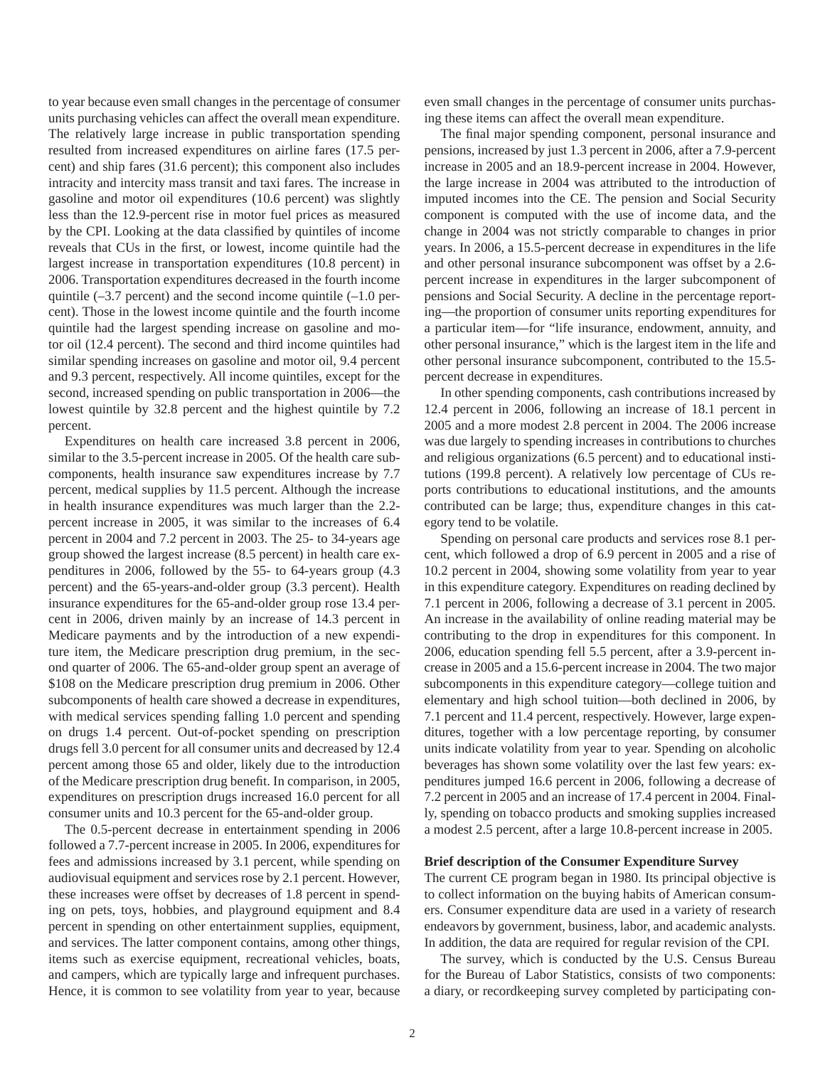to year because even small changes in the percentage of consumer units purchasing vehicles can affect the overall mean expenditure. The relatively large increase in public transportation spending resulted from increased expenditures on airline fares (17.5 percent) and ship fares (31.6 percent); this component also includes intracity and intercity mass transit and taxi fares. The increase in gasoline and motor oil expenditures (10.6 percent) was slightly less than the 12.9-percent rise in motor fuel prices as measured by the CPI. Looking at the data classified by quintiles of income reveals that CUs in the first, or lowest, income quintile had the largest increase in transportation expenditures (10.8 percent) in 2006. Transportation expenditures decreased in the fourth income quintile (–3.7 percent) and the second income quintile (–1.0 percent). Those in the lowest income quintile and the fourth income quintile had the largest spending increase on gasoline and motor oil (12.4 percent). The second and third income quintiles had similar spending increases on gasoline and motor oil, 9.4 percent and 9.3 percent, respectively. All income quintiles, except for the second, increased spending on public transportation in 2006—the lowest quintile by 32.8 percent and the highest quintile by 7.2 percent.

Expenditures on health care increased 3.8 percent in 2006, similar to the 3.5-percent increase in 2005. Of the health care subcomponents, health insurance saw expenditures increase by 7.7 percent, medical supplies by 11.5 percent. Although the increase in health insurance expenditures was much larger than the 2.2 percent increase in 2005, it was similar to the increases of 6.4 percent in 2004 and 7.2 percent in 2003. The 25- to 34-years age group showed the largest increase (8.5 percent) in health care expenditures in 2006, followed by the 55- to 64-years group (4.3 percent) and the 65-years-and-older group (3.3 percent). Health insurance expenditures for the 65-and-older group rose 13.4 percent in 2006, driven mainly by an increase of 14.3 percent in Medicare payments and by the introduction of a new expenditure item, the Medicare prescription drug premium, in the second quarter of 2006. The 65-and-older group spent an average of \$108 on the Medicare prescription drug premium in 2006. Other subcomponents of health care showed a decrease in expenditures, with medical services spending falling 1.0 percent and spending on drugs 1.4 percent. Out-of-pocket spending on prescription drugs fell 3.0 percent for all consumer units and decreased by 12.4 percent among those 65 and older, likely due to the introduction of the Medicare prescription drug benefit. In comparison, in 2005, expenditures on prescription drugs increased 16.0 percent for all consumer units and 10.3 percent for the 65-and-older group.

The 0.5-percent decrease in entertainment spending in 2006 followed a 7.7-percent increase in 2005. In 2006, expenditures for fees and admissions increased by 3.1 percent, while spending on audiovisual equipment and services rose by 2.1 percent. However, these increases were offset by decreases of 1.8 percent in spending on pets, toys, hobbies, and playground equipment and 8.4 percent in spending on other entertainment supplies, equipment, and services. The latter component contains, among other things, items such as exercise equipment, recreational vehicles, boats, and campers, which are typically large and infrequent purchases. Hence, it is common to see volatility from year to year, because even small changes in the percentage of consumer units purchasing these items can affect the overall mean expenditure.

The final major spending component, personal insurance and pensions, increased by just 1.3 percent in 2006, after a 7.9-percent increase in 2005 and an 18.9-percent increase in 2004. However, the large increase in 2004 was attributed to the introduction of imputed incomes into the CE. The pension and Social Security component is computed with the use of income data, and the change in 2004 was not strictly comparable to changes in prior years. In 2006, a 15.5-percent decrease in expenditures in the life and other personal insurance subcomponent was offset by a 2.6 percent increase in expenditures in the larger subcomponent of pensions and Social Security. A decline in the percentage reporting—the proportion of consumer units reporting expenditures for a particular item—for "life insurance, endowment, annuity, and other personal insurance," which is the largest item in the life and other personal insurance subcomponent, contributed to the 15.5 percent decrease in expenditures.

In other spending components, cash contributions increased by 12.4 percent in 2006, following an increase of 18.1 percent in 2005 and a more modest 2.8 percent in 2004. The 2006 increase was due largely to spending increases in contributions to churches and religious organizations (6.5 percent) and to educational institutions (199.8 percent). A relatively low percentage of CUs reports contributions to educational institutions, and the amounts contributed can be large; thus, expenditure changes in this category tend to be volatile.

Spending on personal care products and services rose 8.1 percent, which followed a drop of 6.9 percent in 2005 and a rise of 10.2 percent in 2004, showing some volatility from year to year in this expenditure category. Expenditures on reading declined by 7.1 percent in 2006, following a decrease of 3.1 percent in 2005. An increase in the availability of online reading material may be contributing to the drop in expenditures for this component. In 2006, education spending fell 5.5 percent, after a 3.9-percent increase in 2005 and a 15.6-percent increase in 2004. The two major subcomponents in this expenditure category—college tuition and elementary and high school tuition—both declined in 2006, by 7.1 percent and 11.4 percent, respectively. However, large expenditures, together with a low percentage reporting, by consumer units indicate volatility from year to year. Spending on alcoholic beverages has shown some volatility over the last few years: expenditures jumped 16.6 percent in 2006, following a decrease of 7.2 percent in 2005 and an increase of 17.4 percent in 2004. Finally, spending on tobacco products and smoking supplies increased a modest 2.5 percent, after a large 10.8-percent increase in 2005.

## **Brief description of the Consumer Expenditure Survey**

The current CE program began in 1980. Its principal objective is to collect information on the buying habits of American consumers. Consumer expenditure data are used in a variety of research endeavors by government, business, labor, and academic analysts. In addition, the data are required for regular revision of the CPI.

The survey, which is conducted by the U.S. Census Bureau for the Bureau of Labor Statistics, consists of two components: a diary, or recordkeeping survey completed by participating con-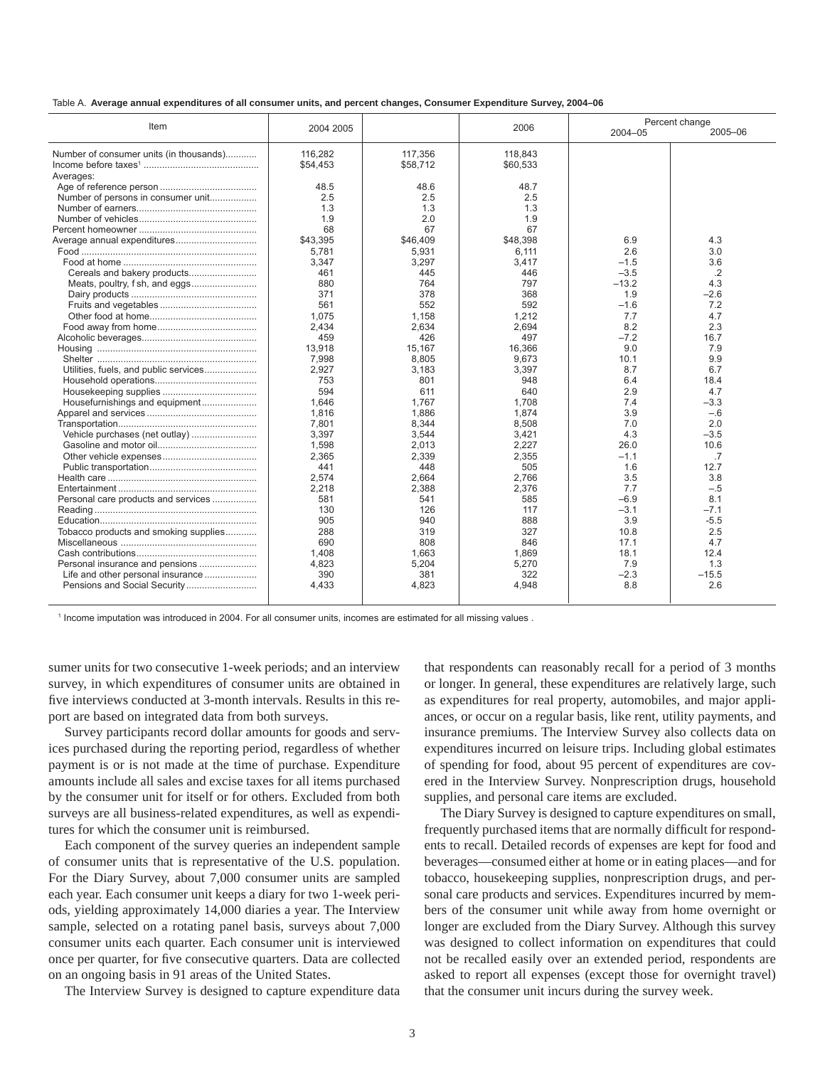| Table A. Average annual expenditures of all consumer units, and percent changes, Consumer Expenditure Survey, 2004–06 |  |  |  |  |
|-----------------------------------------------------------------------------------------------------------------------|--|--|--|--|
|                                                                                                                       |  |  |  |  |

| Item                                                 | 2004 2005           |                     | 2006                | 2004-05 | Percent change<br>2005-06 |
|------------------------------------------------------|---------------------|---------------------|---------------------|---------|---------------------------|
|                                                      |                     |                     |                     |         |                           |
| Number of consumer units (in thousands)<br>Averages: | 116,282<br>\$54,453 | 117,356<br>\$58,712 | 118.843<br>\$60,533 |         |                           |
|                                                      | 48.5                | 48.6                | 48.7                |         |                           |
| Number of persons in consumer unit                   | 2.5                 | 2.5                 | 2.5                 |         |                           |
|                                                      | 1.3                 | 1.3                 | 1.3                 |         |                           |
|                                                      | 1.9                 | 2.0                 | 1.9                 |         |                           |
|                                                      | 68                  | 67                  | 67                  |         |                           |
| Average annual expenditures                          | \$43,395            | \$46,409            | \$48,398            | 6.9     | 4.3                       |
|                                                      | 5,781               | 5,931               | 6,111               | 2.6     | 3.0                       |
|                                                      | 3,347               | 3,297               | 3,417               | $-1.5$  | 3.6                       |
|                                                      | 461                 | 445                 | 446                 | $-3.5$  | $\cdot$ .2                |
| Meats, poultry, f sh, and eggs                       | 880                 | 764                 | 797                 | $-13.2$ | 4.3                       |
|                                                      | 371                 | 378                 | 368                 | 1.9     | $-2.6$                    |
|                                                      | 561                 | 552                 | 592                 | $-1.6$  | 7.2                       |
|                                                      | 1,075               | 1,158               | 1,212               | 7.7     | 4.7                       |
|                                                      | 2,434               | 2,634               | 2,694               | 8.2     | 2.3                       |
|                                                      | 459                 | 426                 | 497                 | $-7.2$  | 16.7                      |
|                                                      | 13,918              | 15.167              | 16.366              | 9.0     | 7.9                       |
|                                                      | 7,998               | 8,805               | 9,673               | 10.1    | 9.9                       |
| Utilities, fuels, and public services                | 2,927               | 3,183               | 3,397               | 8.7     | 6.7                       |
|                                                      | 753                 | 801                 | 948                 | 6.4     | 18.4                      |
|                                                      | 594                 | 611                 | 640                 | 2.9     | 4.7                       |
| Housefurnishings and equipment                       | 1.646               | 1.767               | 1.708               | 7.4     | $-3.3$                    |
|                                                      | 1,816               | 1,886               | 1.874               | 3.9     | $-.6$                     |
|                                                      | 7,801               | 8,344               | 8,508               | 7.0     | 2.0                       |
| Vehicle purchases (net outlay)                       | 3,397               | 3,544               | 3,421               | 4.3     | $-3.5$                    |
|                                                      | 1,598               | 2,013               | 2,227               | 26.0    | 10.6                      |
|                                                      | 2,365               | 2,339               | 2,355               | $-1.1$  | .7                        |
|                                                      | 441                 | 448                 | 505                 | 1.6     | 12.7                      |
|                                                      | 2.574               | 2.664               | 2.766               | 3.5     | 3.8                       |
|                                                      | 2,218               | 2,388               | 2,376               | 7.7     | $-.5$                     |
| Personal care products and services                  | 581                 | 541                 | 585                 | $-6.9$  | 8.1                       |
|                                                      | 130                 | 126                 | 117                 | $-3.1$  | $-7.1$                    |
|                                                      | 905                 | 940                 | 888                 | 3.9     | $-5.5$                    |
| Tobacco products and smoking supplies                | 288                 | 319                 | 327                 | 10.8    | 2.5                       |
|                                                      | 690                 | 808                 | 846                 | 17.1    | 4.7                       |
|                                                      | 1.408               | 1.663               | 1.869               | 18.1    | 12.4                      |
| Personal insurance and pensions                      | 4,823               | 5,204               | 5,270               | 7.9     | 1.3                       |
| Life and other personal insurance                    | 390                 | 381                 | 322                 | $-2.3$  | $-15.5$                   |
| Pensions and Social Security                         | 4,433               | 4,823               | 4,948               | 8.8     | 2.6                       |
|                                                      |                     |                     |                     |         |                           |

1 Income imputation was introduced in 2004. For all consumer units, incomes are estimated for all missing values .

sumer units for two consecutive 1-week periods; and an interview survey, in which expenditures of consumer units are obtained in five interviews conducted at 3-month intervals. Results in this report are based on integrated data from both surveys.

Survey participants record dollar amounts for goods and services purchased during the reporting period, regardless of whether payment is or is not made at the time of purchase. Expenditure amounts include all sales and excise taxes for all items purchased by the consumer unit for itself or for others. Excluded from both surveys are all business-related expenditures, as well as expenditures for which the consumer unit is reimbursed.

Each component of the survey queries an independent sample of consumer units that is representative of the U.S. population. For the Diary Survey, about 7,000 consumer units are sampled each year. Each consumer unit keeps a diary for two 1-week periods, yielding approximately 14,000 diaries a year. The Interview sample, selected on a rotating panel basis, surveys about 7,000 consumer units each quarter. Each consumer unit is interviewed once per quarter, for five consecutive quarters. Data are collected on an ongoing basis in 91 areas of the United States.

The Interview Survey is designed to capture expenditure data

that respondents can reasonably recall for a period of 3 months or longer. In general, these expenditures are relatively large, such as expenditures for real property, automobiles, and major appliances, or occur on a regular basis, like rent, utility payments, and insurance premiums. The Interview Survey also collects data on expenditures incurred on leisure trips. Including global estimates of spending for food, about 95 percent of expenditures are covered in the Interview Survey. Nonprescription drugs, household supplies, and personal care items are excluded.

The Diary Survey is designed to capture expenditures on small, frequently purchased items that are normally difficult for respondents to recall. Detailed records of expenses are kept for food and beverages—consumed either at home or in eating places—and for tobacco, housekeeping supplies, nonprescription drugs, and personal care products and services. Expenditures incurred by members of the consumer unit while away from home overnight or longer are excluded from the Diary Survey. Although this survey was designed to collect information on expenditures that could not be recalled easily over an extended period, respondents are asked to report all expenses (except those for overnight travel) that the consumer unit incurs during the survey week.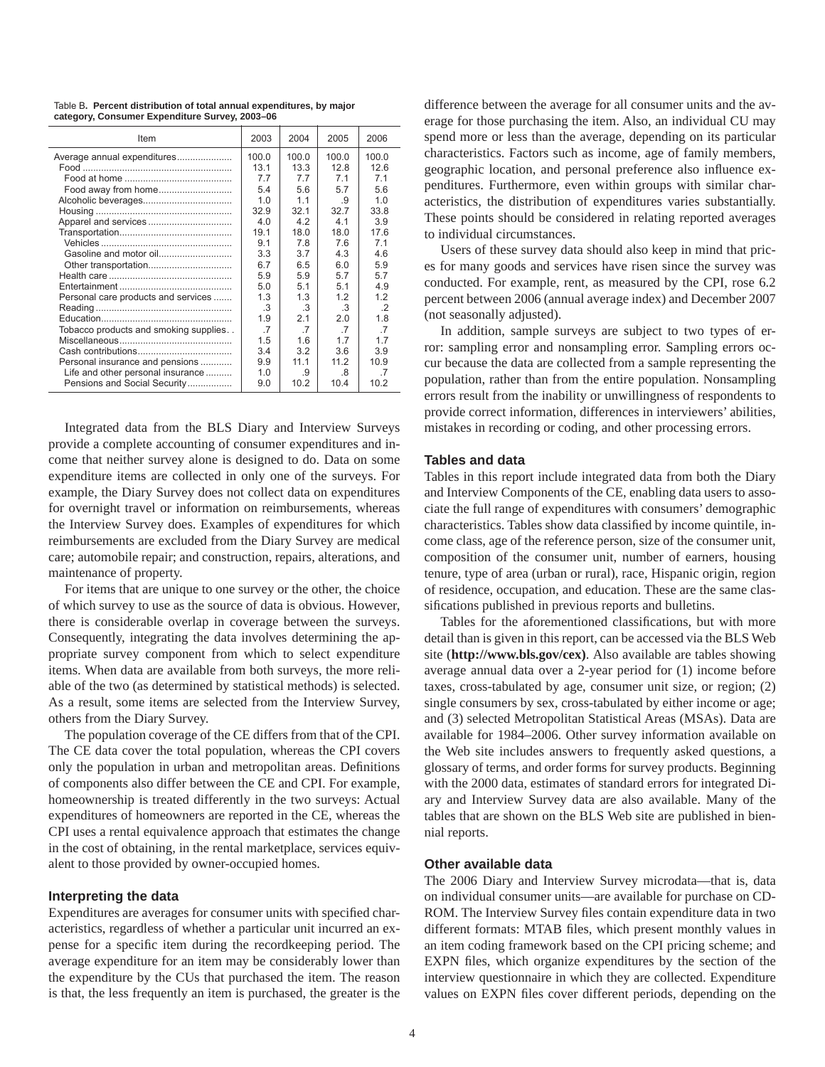Table B**. Percent distribution of total annual expenditures, by major category, Consumer Expenditure Survey, 2003–06**

| Item                                  | 2003            | 2004           | 2005           | 2006    |
|---------------------------------------|-----------------|----------------|----------------|---------|
| Average annual expenditures           | 100.0           | 100.0          | 100.0          | 100.0   |
|                                       | 13.1            | 13.3           | 12.8           | 12.6    |
|                                       | 77              | 77             | 71             | 71      |
| Food away from home                   | 5.4             | 5.6            | 57             | 5.6     |
|                                       | 1.0             | 11             | .9             | 1.0     |
|                                       | 32.9            | 32.1           | 32.7           | 33.8    |
|                                       | 40              | 42             | 41             | 3.9     |
|                                       | 19.1            | 18.0           | 18.0           | 17.6    |
|                                       | 9.1             | 78             | 7.6            | 71      |
|                                       | 3.3             | 3.7            | 4 3            | 46      |
|                                       | 67              | 6.5            | 60             | 5.9     |
|                                       | 5.9             | 5.9            | 57             | 5.7     |
|                                       | 5.0             | 5.1            | 5 <sub>1</sub> | 4.9     |
| Personal care products and services   | 1.3             | 13             | 12             | 12      |
|                                       | .3              | .3             | .3             | $\cdot$ |
|                                       | 1.9             | 2.1            | 2.0            | 1.8     |
| Tobacco products and smoking supplies | $\overline{.7}$ | $\overline{7}$ | $\overline{7}$ | .7      |
|                                       | 1.5             | 1.6            | 17             | 1.7     |
|                                       | 34              | 32             | 36             | 3.9     |
| Personal insurance and pensions       | 9.9             | 11.1           | 112            | 10.9    |
| Life and other personal insurance     | 1 <sub>0</sub>  | .9             | 8              | -7      |
| Pensions and Social Security          | 9.0             | 10.2           | 10.4           | 10.2    |

Integrated data from the BLS Diary and Interview Surveys provide a complete accounting of consumer expenditures and income that neither survey alone is designed to do. Data on some expenditure items are collected in only one of the surveys. For example, the Diary Survey does not collect data on expenditures for overnight travel or information on reimbursements, whereas the Interview Survey does. Examples of expenditures for which reimbursements are excluded from the Diary Survey are medical care; automobile repair; and construction, repairs, alterations, and maintenance of property.

For items that are unique to one survey or the other, the choice of which survey to use as the source of data is obvious. However, there is considerable overlap in coverage between the surveys. Consequently, integrating the data involves determining the appropriate survey component from which to select expenditure items. When data are available from both surveys, the more reliable of the two (as determined by statistical methods) is selected. As a result, some items are selected from the Interview Survey, others from the Diary Survey.

The population coverage of the CE differs from that of the CPI. The CE data cover the total population, whereas the CPI covers only the population in urban and metropolitan areas. Definitions of components also differ between the CE and CPI. For example, homeownership is treated differently in the two surveys: Actual expenditures of homeowners are reported in the CE, whereas the CPI uses a rental equivalence approach that estimates the change in the cost of obtaining, in the rental marketplace, services equivalent to those provided by owner-occupied homes.

### **Interpreting the data**

Expenditures are averages for consumer units with specified characteristics, regardless of whether a particular unit incurred an expense for a specific item during the record keeping period. The average expenditure for an item may be considerably lower than the expenditure by the CUs that purchased the item. The reason is that, the less frequently an item is purchased, the greater is the difference between the average for all consumer units and the average for those purchasing the item. Also, an individual CU may spend more or less than the average, depending on its particular characteristics. Factors such as income, age of family members, geographic location, and personal preference also influence expenditures. Furthermore, even within groups with similar characteristics, the distribution of expenditures varies substantially. These points should be considered in relating reported averages to individual circumstances.

Users of these survey data should also keep in mind that prices for many goods and services have risen since the survey was conducted. For example, rent, as measured by the CPI, rose 6.2 percent between 2006 (annual average index) and December 2007 (not seasonally adjusted).

In addition, sample surveys are subject to two types of error: sampling error and nonsampling error. Sampling errors occur because the data are collected from a sample representing the population, rather than from the entire population. Nonsampling errors result from the inability or unwillingness of respondents to provide correct information, differences in interviewers' abilities, mistakes in recording or coding, and other processing errors.

# **Tables and data**

Tables in this report include integrated data from both the Diary and Interview Components of the CE, enabling data users to associate the full range of expenditures with consumers' demographic characteristics. Tables show data classified by income quintile, income class, age of the reference person, size of the consumer unit, composition of the consumer unit, number of earners, housing tenure, type of area (urban or rural), race, Hispanic origin, region of residence, occupation, and education. These are the same classifications published in previous reports and bulletins.

Tables for the aforementioned classifications, but with more detail than is given in this report, can be accessed via the BLS Web site (**http://www.bls.gov/cex)**. Also available are tables showing average annual data over a 2-year period for (1) income before taxes, cross-tabulated by age, consumer unit size, or region; (2) single consumers by sex, cross-tabulated by either income or age; and (3) selected Metropolitan Statistical Areas (MSAs). Data are available for 1984–2006. Other survey information available on the Web site includes answers to frequently asked questions, a glossary of terms, and order forms for survey products. Beginning with the 2000 data, estimates of standard errors for integrated Diary and Interview Survey data are also available. Many of the tables that are shown on the BLS Web site are published in biennial reports.

#### **Other available data**

The 2006 Diary and Interview Survey microdata—that is, data on individual consumer units—are available for purchase on CD-ROM. The Interview Survey files contain expenditure data in two different formats: MTAB files, which present monthly values in an item coding framework based on the CPI pricing scheme; and EXPN files, which organize expenditures by the section of the interview questionnaire in which they are collected. Expenditure values on EXPN files cover different periods, depending on the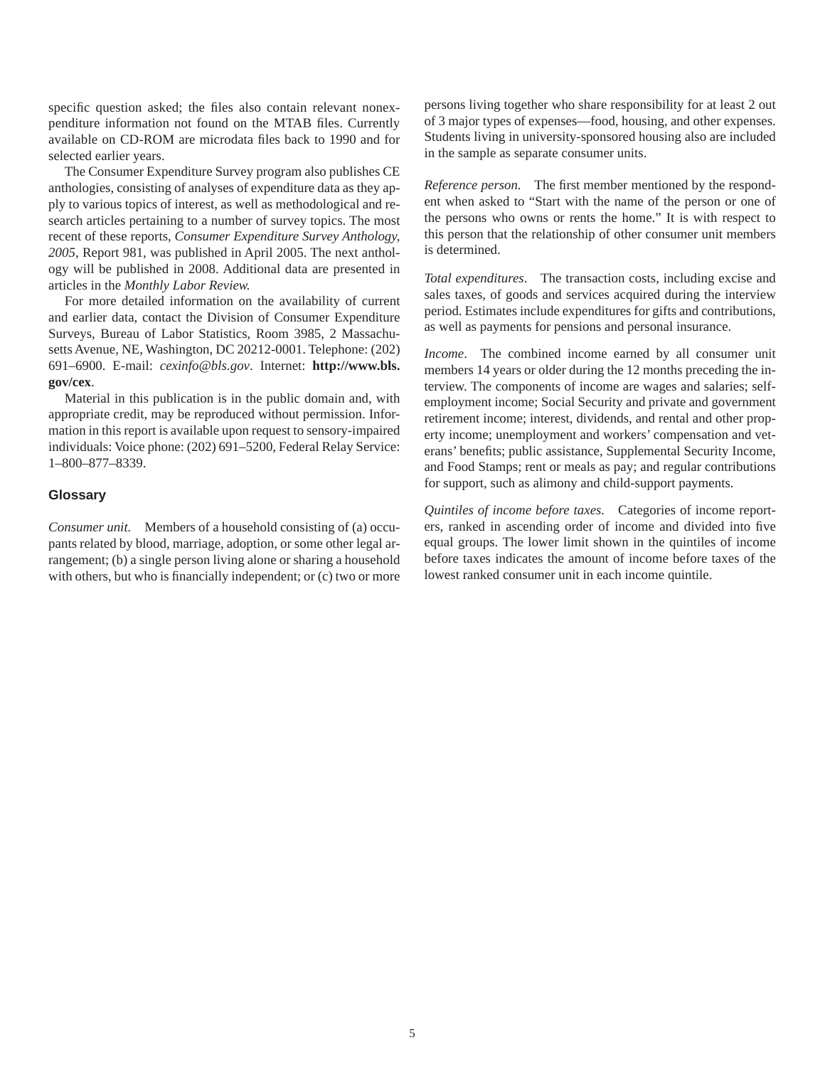specific question asked; the files also contain relevant nonexpenditure information not found on the MTAB files. Currently available on CD-ROM are microdata files back to 1990 and for selected earlier years.

The Consumer Expenditure Survey program also publishes CE anthologies, consisting of analyses of expenditure data as they apply to various topics of interest, as well as methodological and research articles pertaining to a number of survey topics. The most recent of these reports, *Consumer Expenditure Survey Anthology, 2005*, Report 981, was published in April 2005. The next anthology will be published in 2008. Additional data are presented in articles in the *Monthly Labor Review.*

For more detailed information on the availability of current and earlier data, contact the Division of Consumer Expenditure Surveys, Bureau of Labor Statistics, Room 3985, 2 Massachusetts Avenue, NE, Washington, DC 20212-0001. Telephone: (202) 691–6900. E-mail: *cexinfo@bls.gov*. Internet: **http://www.bls. gov/cex**.

Material in this publication is in the public domain and, with appropriate credit, may be reproduced without permission. Information in this report is available upon request to sensory-impaired individuals: Voice phone: (202) 691–5200, Federal Relay Service: 1–800–877–8339.

## **Glossary**

*Consumer unit.* Members of a household consisting of (a) occupants related by blood, marriage, adoption, or some other legal arrangement; (b) a single person living alone or sharing a household with others, but who is financially independent; or  $(c)$  two or more persons living together who share responsibility for at least 2 out of 3 major types of expenses—food, housing, and other expenses. Students living in university-sponsored housing also are included in the sample as separate consumer units.

*Reference person.* The first member mentioned by the respondent when asked to "Start with the name of the person or one of the persons who owns or rents the home." It is with respect to this person that the relationship of other consumer unit members is determined.

*Total expenditures*. The transaction costs, including excise and sales taxes, of goods and services acquired during the interview period. Estimates include expenditures for gifts and contributions, as well as payments for pensions and personal insurance.

*Income*. The combined income earned by all consumer unit members 14 years or older during the 12 months preceding the interview. The components of income are wages and salaries; selfemployment income; Social Security and private and government retirement income; interest, dividends, and rental and other property income; unemployment and workers' compensation and veterans' benefits; public assistance, Supplemental Security Income, and Food Stamps; rent or meals as pay; and regular contributions for support, such as alimony and child-support payments.

*Quintiles of income before taxes.* Categories of income reporters, ranked in ascending order of income and divided into five equal groups. The lower limit shown in the quintiles of income before taxes indicates the amount of income before taxes of the lowest ranked consumer unit in each income quintile.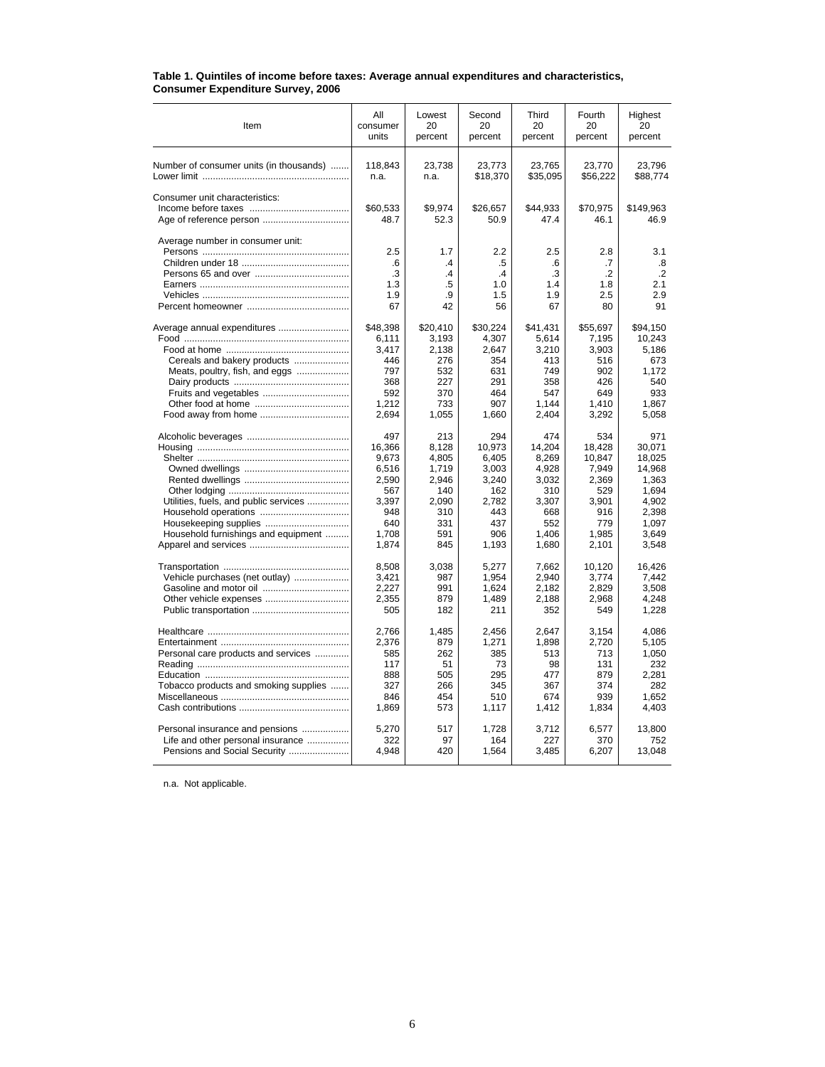| Item                                    | ΑIΙ<br>consumer<br>units | Lowest<br>20<br>percent | Second<br>20<br>percent | Third<br>20<br>percent | Fourth<br>20<br>percent | Highest<br>20<br>percent |
|-----------------------------------------|--------------------------|-------------------------|-------------------------|------------------------|-------------------------|--------------------------|
| Number of consumer units (in thousands) | 118.843<br>n.a.          | 23.738<br>n.a.          | 23.773<br>\$18,370      | 23.765<br>\$35,095     | 23.770<br>\$56,222      | 23.796<br>\$88,774       |
| Consumer unit characteristics:          |                          |                         |                         |                        |                         |                          |
|                                         | \$60,533                 | \$9,974                 | \$26,657                | \$44,933               | \$70,975                | \$149,963                |
|                                         | 48.7                     | 52.3                    | 50.9                    | 47.4                   | 46.1                    | 46.9                     |
| Average number in consumer unit:        |                          |                         |                         |                        |                         |                          |
|                                         | 2.5                      | 1.7                     | 2.2                     | 2.5                    | 2.8                     | 3.1                      |
|                                         | 6.6                      | $\mathcal{A}$           | .5                      | 6.6                    | .7                      | .8                       |
|                                         | .3                       | .4                      | $\mathcal{A}$           | .3                     | $\cdot$ .2              | $\cdot$ .2               |
|                                         | 1.3                      | .5                      | 1.0                     | 1.4                    | 1.8                     | 2.1                      |
|                                         | 1.9                      | .9                      | 1.5                     | 1.9                    | 2.5                     | 2.9                      |
|                                         | 67                       | 42                      | 56                      | 67                     | 80                      | 91                       |
| Average annual expenditures             | \$48,398                 | \$20,410                | \$30,224                | \$41.431               | \$55,697                | \$94,150                 |
|                                         | 6,111                    | 3,193                   | 4,307                   | 5,614                  | 7,195                   | 10,243                   |
|                                         | 3.417                    | 2,138                   | 2.647                   | 3,210                  | 3,903                   | 5,186                    |
| Cereals and bakery products             | 446                      | 276                     | 354                     | 413                    | 516                     | 673                      |
| Meats, poultry, fish, and eggs          | 797                      | 532                     | 631                     | 749                    | 902                     | 1.172                    |
|                                         | 368                      | 227                     | 291                     | 358                    | 426                     | 540                      |
|                                         | 592                      | 370                     | 464                     | 547                    | 649                     | 933                      |
|                                         | 1,212                    | 733                     | 907                     | 1,144                  | 1,410                   | 1,867                    |
|                                         | 2,694                    | 1,055                   | 1,660                   | 2,404                  | 3,292                   | 5,058                    |
|                                         | 497                      | 213                     | 294                     | 474                    | 534                     | 971                      |
|                                         | 16.366                   | 8.128                   | 10.973                  | 14.204                 | 18.428                  | 30.071                   |
|                                         | 9.673                    | 4,805                   | 6.405                   | 8,269                  | 10.847                  | 18.025                   |
|                                         | 6.516                    | 1,719                   | 3.003                   | 4.928                  | 7.949                   | 14.968                   |
|                                         | 2,590                    | 2,946                   | 3,240                   | 3,032                  | 2,369                   | 1,363                    |
|                                         | 567                      | 140                     | 162                     | 310                    | 529                     | 1.694                    |
| Utilities, fuels, and public services   | 3,397                    | 2,090                   | 2,782                   | 3,307                  | 3,901                   | 4,902                    |
|                                         | 948                      | 310                     | 443                     | 668                    | 916                     | 2,398                    |
| Housekeeping supplies                   | 640                      | 331                     | 437                     | 552                    | 779                     | 1,097                    |
| Household furnishings and equipment     | 1,708                    | 591                     | 906                     | 1.406                  | 1,985                   | 3,649                    |
|                                         | 1,874                    | 845                     | 1,193                   | 1,680                  | 2,101                   | 3,548                    |
|                                         | 8,508                    | 3,038                   | 5,277                   | 7,662                  | 10,120                  | 16,426                   |
| Vehicle purchases (net outlay)          | 3,421                    | 987                     | 1,954                   | 2,940                  | 3,774                   | 7,442                    |
|                                         | 2,227                    | 991                     | 1,624                   | 2,182                  | 2,829                   | 3,508                    |
| Other vehicle expenses                  | 2,355                    | 879                     | 1,489                   | 2,188                  | 2,968                   | 4,248                    |
|                                         | 505                      | 182                     | 211                     | 352                    | 549                     | 1,228                    |
|                                         | 2.766                    | 1,485                   | 2.456                   | 2.647                  | 3.154                   | 4.086                    |
|                                         | 2.376                    | 879                     | 1.271                   | 1.898                  | 2,720                   | 5.105                    |
| Personal care products and services     | 585                      | 262                     | 385                     | 513                    | 713                     | 1.050                    |
|                                         | 117                      | 51                      | 73                      | 98                     | 131                     | 232                      |
|                                         | 888                      | 505                     | 295                     | 477                    | 879                     | 2.281                    |
| Tobacco products and smoking supplies   | 327                      | 266                     | 345                     | 367                    | 374                     | 282                      |
|                                         | 846                      | 454                     | 510                     | 674                    | 939                     | 1.652                    |
|                                         | 1,869                    | 573                     | 1,117                   | 1,412                  | 1,834                   | 4,403                    |
| Personal insurance and pensions         | 5,270                    | 517                     | 1,728                   | 3,712                  | 6,577                   | 13,800                   |
| Life and other personal insurance       | 322                      | 97                      | 164                     | 227                    | 370                     | 752                      |
| Pensions and Social Security            | 4,948                    | 420                     | 1,564                   | 3,485                  | 6,207                   | 13,048                   |
|                                         |                          |                         |                         |                        |                         |                          |

#### **Table 1. Quintiles of income before taxes: Average annual expenditures and characteristics, Consumer Expenditure Survey, 2006**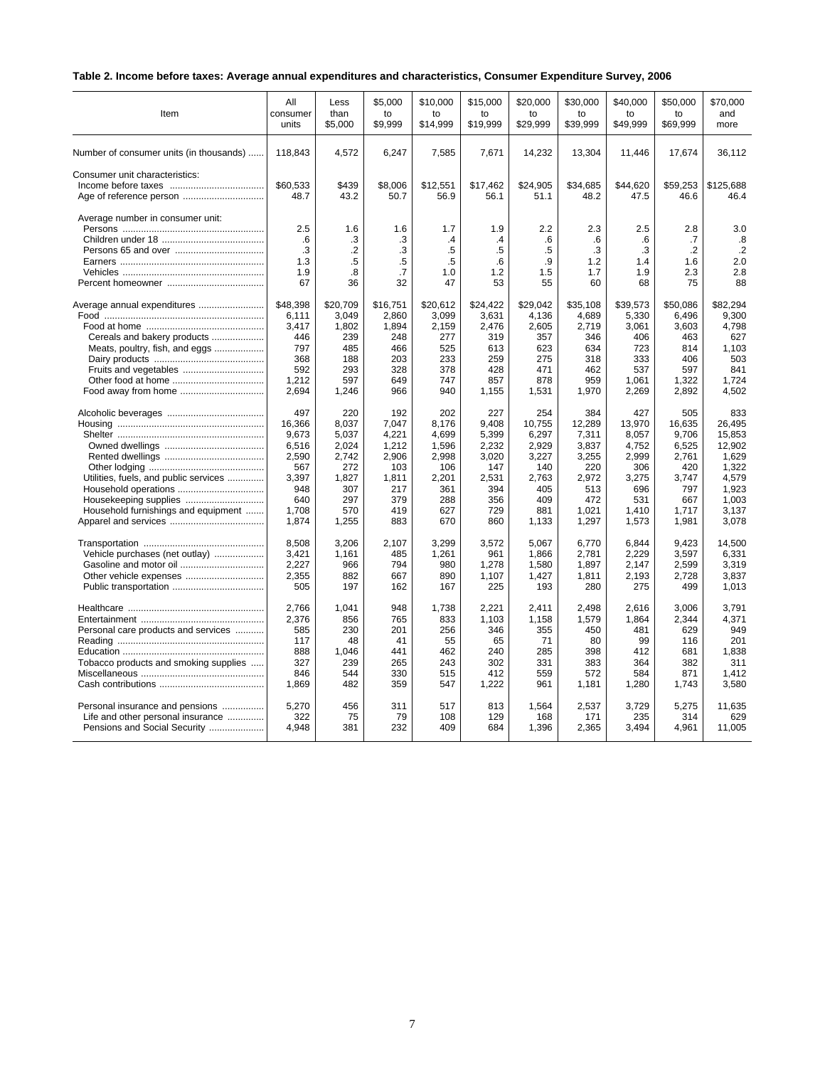# **Table 2. Income before taxes: Average annual expenditures and characteristics, Consumer Expenditure Survey, 2006**

| Item                                                      | All                    | Less                              | \$5,000                   | \$10,000                   | \$15,000                   | \$20,000              | \$30,000               | \$40,000               | \$50,000                    | \$70.000                       |
|-----------------------------------------------------------|------------------------|-----------------------------------|---------------------------|----------------------------|----------------------------|-----------------------|------------------------|------------------------|-----------------------------|--------------------------------|
|                                                           | consumer               | than                              | to                        | to                         | to                         | to                    | to                     | to                     | to                          | and                            |
|                                                           | units                  | \$5,000                           | \$9,999                   | \$14,999                   | \$19,999                   | \$29,999              | \$39,999               | \$49,999               | \$69,999                    | more                           |
| Number of consumer units (in thousands)                   | 118,843                | 4,572                             | 6,247                     | 7,585                      | 7,671                      | 14,232                | 13,304                 | 11,446                 | 17,674                      | 36,112                         |
| Consumer unit characteristics:<br>Age of reference person | \$60,533<br>48.7       | \$439<br>43.2                     | \$8,006<br>50.7           | \$12,551<br>56.9           | \$17,462<br>56.1           | \$24,905<br>51.1      | \$34,685<br>48.2       | \$44,620<br>47.5       | \$59,253<br>46.6            | \$125,688<br>46.4              |
| Average number in consumer unit:                          | 2.5<br>.6<br>.3<br>1.3 | 1.6<br>.3<br>$\overline{2}$<br>.5 | 1.6<br>.3<br>.3<br>$.5\,$ | 1.7<br>$\cdot$<br>.5<br>.5 | 1.9<br>$\cdot$<br>.5<br>.6 | 2.2<br>.6<br>.5<br>.9 | 2.3<br>.6<br>.3<br>1.2 | 2.5<br>.6<br>.3<br>1.4 | 2.8<br>.7<br>$\cdot$<br>1.6 | 3.0<br>.8<br>$\cdot$ .2<br>2.0 |
|                                                           | 1.9                    | .8                                | $\cdot$ 7                 | 1.0                        | 1.2                        | 1.5                   | 1.7                    | 1.9                    | 2.3                         | 2.8                            |
|                                                           | 67                     | 36                                | 32                        | 47                         | 53                         | 55                    | 60                     | 68                     | 75                          | 88                             |
| Average annual expenditures                               | \$48.398               | \$20.709                          | \$16.751                  | \$20.612                   | \$24.422                   | \$29.042              | \$35.108               | \$39.573               | \$50.086                    | \$82.294                       |
|                                                           | 6,111                  | 3,049                             | 2,860                     | 3,099                      | 3,631                      | 4,136                 | 4,689                  | 5,330                  | 6,496                       | 9,300                          |
|                                                           | 3.417                  | 1.802                             | 1.894                     | 2,159                      | 2.476                      | 2.605                 | 2,719                  | 3.061                  | 3.603                       | 4.798                          |
| Cereals and bakery products                               | 446                    | 239                               | 248                       | 277                        | 319                        | 357                   | 346                    | 406                    | 463                         | 627                            |
| Meats, poultry, fish, and eggs                            | 797                    | 485                               | 466                       | 525                        | 613                        | 623                   | 634                    | 723                    | 814                         | 1.103                          |
|                                                           | 368                    | 188                               | 203                       | 233                        | 259                        | 275                   | 318                    | 333                    | 406                         | 503                            |
|                                                           | 592                    | 293                               | 328                       | 378                        | 428                        | 471                   | 462                    | 537                    | 597                         | 841                            |
|                                                           | 1,212                  | 597                               | 649                       | 747                        | 857                        | 878                   | 959                    | 1,061                  | 1,322                       | 1,724                          |
|                                                           | 2,694                  | 1,246                             | 966                       | 940                        | 1,155                      | 1,531                 | 1,970                  | 2,269                  | 2,892                       | 4,502                          |
|                                                           | 497                    | 220                               | 192                       | 202                        | 227                        | 254                   | 384                    | 427                    | 505                         | 833                            |
|                                                           | 16,366                 | 8,037                             | 7,047                     | 8,176                      | 9,408                      | 10,755                | 12,289                 | 13,970                 | 16,635                      | 26.495                         |
|                                                           | 9,673                  | 5,037                             | 4,221                     | 4,699                      | 5,399                      | 6,297                 | 7,311                  | 8,057                  | 9,706                       | 15,853                         |
|                                                           | 6,516                  | 2,024                             | 1,212                     | 1,596                      | 2,232                      | 2.929                 | 3,837                  | 4,752                  | 6,525                       | 12,902                         |
|                                                           | 2,590                  | 2,742                             | 2,906                     | 2,998                      | 3,020                      | 3,227                 | 3,255                  | 2,999                  | 2,761                       | 1,629                          |
|                                                           | 567                    | 272                               | 103                       | 106                        | 147                        | 140                   | 220                    | 306                    | 420                         | 1.322                          |
| Utilities, fuels, and public services                     | 3,397                  | 1,827                             | 1,811                     | 2,201                      | 2,531                      | 2,763                 | 2,972                  | 3,275                  | 3,747                       | 4,579                          |
|                                                           | 948                    | 307                               | 217                       | 361                        | 394                        | 405                   | 513                    | 696                    | 797                         | 1,923                          |
|                                                           | 640                    | 297                               | 379                       | 288                        | 356                        | 409                   | 472                    | 531                    | 667                         | 1,003                          |
| Household furnishings and equipment                       | 1,708                  | 570                               | 419                       | 627                        | 729                        | 881                   | 1,021                  | 1,410                  | 1,717                       | 3,137                          |
|                                                           | 1,874                  | 1,255                             | 883                       | 670                        | 860                        | 1,133                 | 1,297                  | 1,573                  | 1,981                       | 3,078                          |
|                                                           | 8,508                  | 3,206                             | 2,107                     | 3,299                      | 3,572                      | 5,067                 | 6,770                  | 6,844                  | 9,423                       | 14,500                         |
| Vehicle purchases (net outlay)                            | 3,421                  | 1,161                             | 485                       | 1,261                      | 961                        | 1,866                 | 2,781                  | 2,229                  | 3,597                       | 6,331                          |
| Gasoline and motor oil                                    | 2,227                  | 966                               | 794                       | 980                        | 1,278                      | 1,580                 | 1,897                  | 2.147                  | 2,599                       | 3,319                          |
|                                                           | 2,355                  | 882                               | 667                       | 890                        | 1,107                      | 1,427                 | 1,811                  | 2,193                  | 2,728                       | 3,837                          |
|                                                           | 505                    | 197                               | 162                       | 167                        | 225                        | 193                   | 280                    | 275                    | 499                         | 1,013                          |
|                                                           | 2,766                  | 1,041                             | 948                       | 1,738                      | 2,221                      | 2,411                 | 2,498                  | 2,616                  | 3,006                       | 3,791                          |
|                                                           | 2,376                  | 856                               | 765                       | 833                        | 1,103                      | 1,158                 | 1,579                  | 1,864                  | 2,344                       | 4,371                          |
| Personal care products and services                       | 585                    | 230                               | 201                       | 256                        | 346                        | 355                   | 450                    | 481                    | 629                         | 949                            |
|                                                           | 117                    | 48                                | 41                        | 55                         | 65                         | 71                    | 80                     | 99                     | 116                         | 201                            |
|                                                           | 888                    | 1,046                             | 441                       | 462                        | 240                        | 285                   | 398                    | 412                    | 681                         | 1,838                          |
| Tobacco products and smoking supplies                     | 327                    | 239                               | 265                       | 243                        | 302                        | 331                   | 383                    | 364                    | 382                         | 311                            |
|                                                           | 846                    | 544                               | 330                       | 515                        | 412                        | 559                   | 572                    | 584                    | 871                         | 1.412                          |
|                                                           | 1,869                  | 482                               | 359                       | 547                        | 1,222                      | 961                   | 1,181                  | 1,280                  | 1,743                       | 3,580                          |
| Personal insurance and pensions                           | 5,270                  | 456                               | 311                       | 517                        | 813                        | 1,564                 | 2,537                  | 3,729                  | 5,275                       | 11,635                         |
| Life and other personal insurance                         | 322                    | 75                                | 79                        | 108                        | 129                        | 168                   | 171                    | 235                    | 314                         | 629                            |
| Pensions and Social Security                              | 4,948                  | 381                               | 232                       | 409                        | 684                        | 1,396                 | 2,365                  | 3,494                  | 4,961                       | 11,005                         |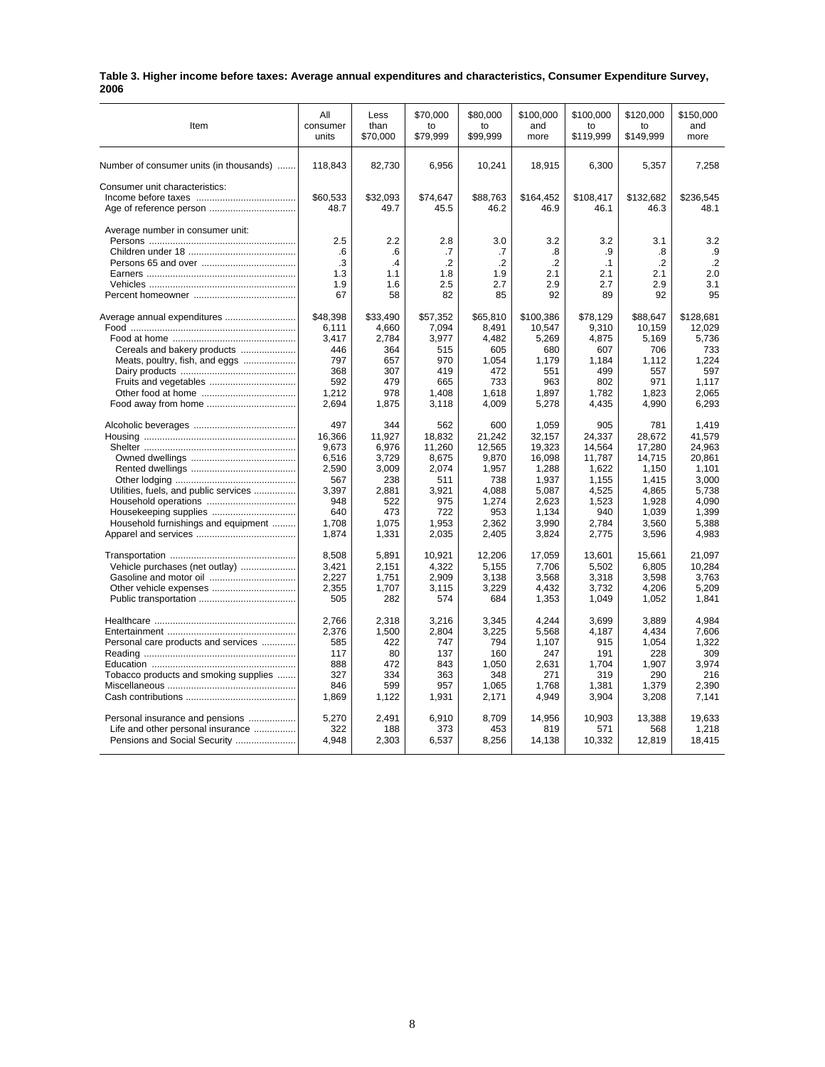| Table 3. Higher income before taxes: Average annual expenditures and characteristics, Consumer Expenditure Survey, |  |
|--------------------------------------------------------------------------------------------------------------------|--|
| 2006                                                                                                               |  |

| Item                                    | All                           | Less                          | \$70,000                              | \$80,000                           | \$100,000                          | \$100,000                            | \$120,000                          | \$150,000                             |
|-----------------------------------------|-------------------------------|-------------------------------|---------------------------------------|------------------------------------|------------------------------------|--------------------------------------|------------------------------------|---------------------------------------|
|                                         | consumer                      | than                          | to                                    | to                                 | and                                | to                                   | to                                 | and                                   |
|                                         | units                         | \$70,000                      | \$79,999                              | \$99,999                           | more                               | \$119,999                            | \$149,999                          | more                                  |
| Number of consumer units (in thousands) | 118,843                       | 82,730                        | 6,956                                 | 10,241                             | 18,915                             | 6,300                                | 5,357                              | 7,258                                 |
| Consumer unit characteristics:          | \$60.533<br>48.7              | \$32.093<br>49.7              | \$74.647<br>45.5                      | \$88.763<br>46.2                   | \$164.452<br>46.9                  | \$108.417<br>46.1                    | \$132.682<br>46.3                  | \$236.545<br>48.1                     |
| Average number in consumer unit:        | 2.5<br>.6<br>.3<br>1.3<br>1.9 | 2.2<br>.6<br>.4<br>1.1<br>1.6 | 2.8<br>.7<br>$\cdot$ .2<br>1.8<br>2.5 | 3.0<br>.7<br>$\cdot$<br>1.9<br>2.7 | 3.2<br>.8<br>$\cdot$<br>2.1<br>2.9 | 3.2<br>.9<br>$\cdot$ 1<br>2.1<br>2.7 | 3.1<br>.8<br>$\cdot$<br>2.1<br>2.9 | 3.2<br>.9<br>$\cdot$ .2<br>2.0<br>3.1 |
|                                         | 67                            | 58                            | 82                                    | 85                                 | 92                                 | 89                                   | 92                                 | 95                                    |
| Average annual expenditures             | \$48,398                      | \$33,490                      | \$57,352                              | \$65,810                           | \$100,386                          | \$78,129                             | \$88,647                           | \$128,681                             |
|                                         | 6.111                         | 4.660                         | 7.094                                 | 8.491                              | 10.547                             | 9.310                                | 10,159                             | 12.029                                |
|                                         | 3,417                         | 2,784                         | 3,977                                 | 4,482                              | 5,269                              | 4,875                                | 5,169                              | 5,736                                 |
| Cereals and bakery products             | 446                           | 364                           | 515                                   | 605                                | 680                                | 607                                  | 706                                | 733                                   |
| Meats, poultry, fish, and eggs          | 797                           | 657                           | 970                                   | 1,054                              | 1,179                              | 1,184                                | 1,112                              | 1,224                                 |
|                                         | 368                           | 307                           | 419                                   | 472                                | 551                                | 499                                  | 557                                | 597                                   |
|                                         | 592                           | 479                           | 665                                   | 733                                | 963                                | 802                                  | 971                                | 1,117                                 |
|                                         | 1.212                         | 978                           | 1.408                                 | 1.618                              | 1.897                              | 1.782                                | 1.823                              | 2.065                                 |
| Food away from home                     | 2,694                         | 1,875                         | 3,118                                 | 4,009                              | 5,278                              | 4,435                                | 4,990                              | 6,293                                 |
|                                         | 497                           | 344                           | 562                                   | 600                                | 1,059                              | 905                                  | 781                                | 1,419                                 |
|                                         | 16,366                        | 11,927                        | 18,832                                | 21,242                             | 32,157                             | 24,337                               | 28,672                             | 41,579                                |
|                                         | 9,673                         | 6,976                         | 11,260                                | 12,565                             | 19,323                             | 14,564                               | 17,280                             | 24,963                                |
|                                         | 6,516                         | 3,729                         | 8,675                                 | 9,870                              | 16,098                             | 11,787                               | 14,715                             | 20,861                                |
|                                         | 2,590                         | 3,009                         | 2,074                                 | 1,957                              | 1,288                              | 1,622                                | 1,150                              | 1,101                                 |
|                                         | 567                           | 238                           | 511                                   | 738                                | 1,937                              | 1,155                                | 1,415                              | 3,000                                 |
| Utilities, fuels, and public services   | 3,397                         | 2,881                         | 3,921                                 | 4,088                              | 5,087                              | 4,525                                | 4,865                              | 5,738                                 |
|                                         | 948                           | 522                           | 975                                   | 1,274                              | 2,623                              | 1,523                                | 1,928                              | 4,090                                 |
|                                         | 640                           | 473                           | 722                                   | 953                                | 1,134                              | 940                                  | 1,039                              | 1,399                                 |
| Household furnishings and equipment     | 1,708                         | 1,075                         | 1,953                                 | 2,362                              | 3,990                              | 2,784                                | 3,560                              | 5,388                                 |
|                                         | 1,874                         | 1,331                         | 2,035                                 | 2,405                              | 3,824                              | 2,775                                | 3,596                              | 4,983                                 |
|                                         | 8,508                         | 5,891                         | 10,921                                | 12,206                             | 17,059                             | 13,601                               | 15,661                             | 21,097                                |
| Vehicle purchases (net outlay)          | 3,421                         | 2,151                         | 4,322                                 | 5,155                              | 7,706                              | 5,502                                | 6,805                              | 10.284                                |
| Gasoline and motor oil                  | 2,227                         | 1,751                         | 2,909                                 | 3,138                              | 3,568                              | 3,318                                | 3,598                              | 3,763                                 |
|                                         | 2,355                         | 1,707                         | 3,115                                 | 3.229                              | 4,432                              | 3,732                                | 4,206                              | 5.209                                 |
|                                         | 505                           | 282                           | 574                                   | 684                                | 1,353                              | 1,049                                | 1,052                              | 1,841                                 |
|                                         | 2,766                         | 2,318                         | 3,216                                 | 3,345                              | 4,244                              | 3,699                                | 3,889                              | 4,984                                 |
|                                         | 2,376                         | 1,500                         | 2,804                                 | 3.225                              | 5,568                              | 4,187                                | 4.434                              | 7.606                                 |
| Personal care products and services     | 585                           | 422                           | 747                                   | 794                                | 1,107                              | 915                                  | 1,054                              | 1,322                                 |
|                                         | 117                           | 80                            | 137                                   | 160                                | 247                                | 191                                  | 228                                | 309                                   |
|                                         | 888                           | 472                           | 843                                   | 1,050                              | 2,631                              | 1,704                                | 1,907                              | 3,974                                 |
| Tobacco products and smoking supplies   | 327                           | 334                           | 363                                   | 348                                | 271                                | 319                                  | 290                                | 216                                   |
|                                         | 846                           | 599                           | 957                                   | 1,065                              | 1,768                              | 1,381                                | 1,379                              | 2,390                                 |
|                                         | 1,869                         | 1,122                         | 1,931                                 | 2,171                              | 4,949                              | 3,904                                | 3,208                              | 7,141                                 |
| Personal insurance and pensions         | 5,270                         | 2,491                         | 6,910                                 | 8,709                              | 14.956                             | 10,903                               | 13,388                             | 19,633                                |
| Life and other personal insurance       | 322                           | 188                           | 373                                   | 453                                | 819                                | 571                                  | 568                                | 1,218                                 |
| Pensions and Social Security            | 4,948                         | 2,303                         | 6,537                                 | 8,256                              | 14,138                             | 10,332                               | 12,819                             | 18,415                                |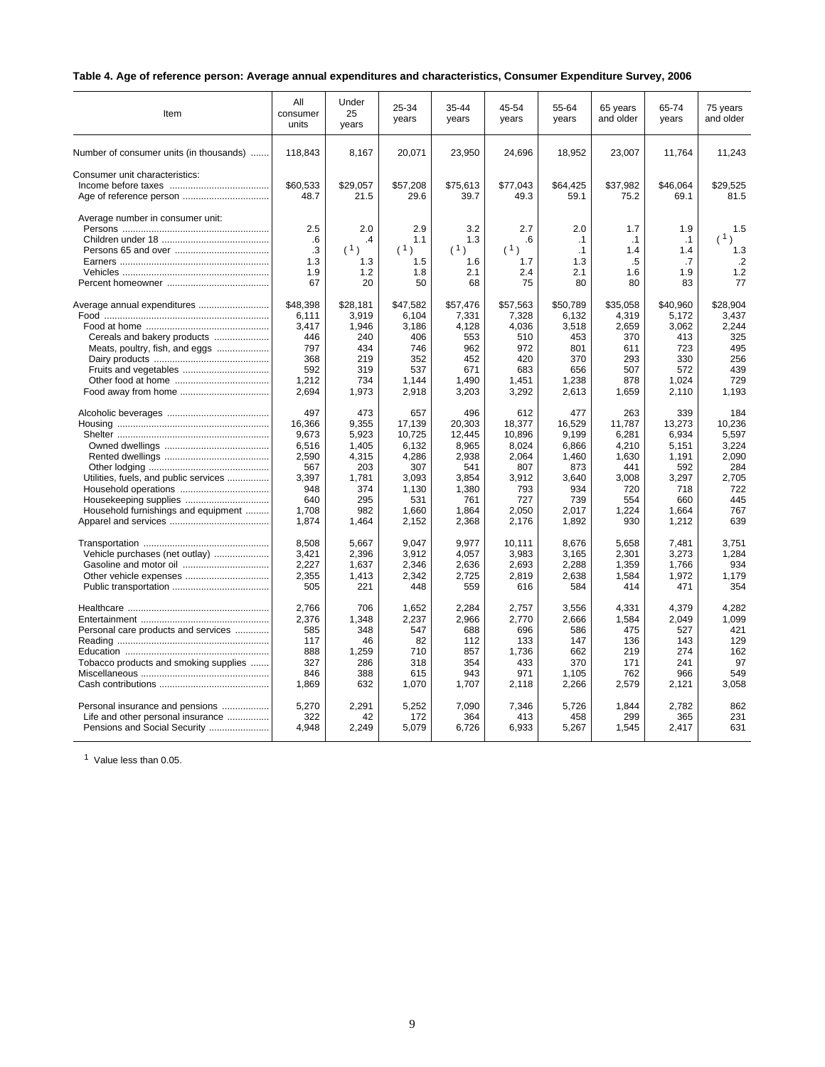# **Table 4. Age of reference person: Average annual expenditures and characteristics, Consumer Expenditure Survey, 2006**

| Item                                                      | All<br>consumer<br>units | Under<br>25<br>years | 25-34<br>years    | 35-44<br>years    | 45-54<br>years    | 55-64<br>years    | 65 years<br>and older | 65-74<br>years    | 75 years<br>and older |
|-----------------------------------------------------------|--------------------------|----------------------|-------------------|-------------------|-------------------|-------------------|-----------------------|-------------------|-----------------------|
| Number of consumer units (in thousands)                   | 118,843                  | 8,167                | 20,071            | 23,950            | 24,696            | 18,952            | 23,007                | 11,764            | 11,243                |
| Consumer unit characteristics:<br>Age of reference person | \$60,533<br>48.7         | \$29,057<br>21.5     | \$57,208<br>29.6  | \$75,613<br>39.7  | \$77,043<br>49.3  | \$64,425<br>59.1  | \$37,982<br>75.2      | \$46,064<br>69.1  | \$29,525<br>81.5      |
| Average number in consumer unit:                          | 2.5                      | 2.0                  | 2.9               | 3.2               | 2.7               | 2.0               | 1.7                   | 1.9               | 1.5                   |
|                                                           | .6                       | $\cdot$              | 1.1               | 1.3               | .6                | $\cdot$ 1         | $\cdot$ 1             | $\cdot$ 1         | (1)                   |
|                                                           | .3                       | (1)                  | (1)               | (1)               | (1)               | $\cdot$ 1         | 1.4                   | 1.4               | 1.3                   |
|                                                           | 1.3                      | 1.3                  | 1.5               | 1.6               | 1.7               | 1.3               | .5                    | .7                | $\cdot$ .2            |
|                                                           | 1.9                      | 1.2                  | 1.8               | 2.1               | 2.4               | 2.1               | 1.6                   | 1.9               | 1.2                   |
|                                                           | 67                       | 20                   | 50                | 68                | 75                | 80                | 80                    | 83                | 77                    |
| Average annual expenditures                               | \$48,398<br>6,111        | \$28,181<br>3,919    | \$47,582<br>6,104 | \$57,476<br>7,331 | \$57,563<br>7,328 | \$50.789<br>6,132 | \$35,058<br>4,319     | \$40.960<br>5,172 | \$28.904<br>3,437     |
|                                                           | 3.417                    | 1,946                | 3,186             | 4,128             | 4,036             | 3,518             | 2,659                 | 3,062             | 2,244                 |
| Cereals and bakery products                               | 446                      | 240                  | 406               | 553               | 510               | 453               | 370                   | 413               | 325                   |
| Meats, poultry, fish, and eggs                            | 797                      | 434                  | 746               | 962               | 972               | 801               | 611                   | 723               | 495                   |
|                                                           | 368                      | 219                  | 352               | 452               | 420               | 370               | 293                   | 330               | 256                   |
|                                                           | 592                      | 319                  | 537               | 671               | 683               | 656               | 507                   | 572               | 439                   |
|                                                           | 1,212                    | 734                  | 1.144             | 1.490             | 1,451             | 1,238             | 878                   | 1,024             | 729                   |
|                                                           | 2,694                    | 1,973                | 2,918             | 3,203             | 3,292             | 2,613             | 1,659                 | 2,110             | 1,193                 |
|                                                           | 497                      | 473                  | 657               | 496               | 612               | 477               | 263                   | 339               | 184                   |
|                                                           | 16,366                   | 9,355                | 17,139            | 20,303            | 18,377            | 16,529            | 11,787                | 13,273            | 10.236                |
|                                                           | 9,673                    | 5,923                | 10,725            | 12.445            | 10,896            | 9.199             | 6,281                 | 6,934             | 5.597                 |
|                                                           | 6,516                    | 1,405                | 6,132             | 8,965             | 8,024             | 6,866             | 4,210                 | 5,151             | 3,224                 |
|                                                           | 2,590                    | 4,315                | 4,286             | 2,938             | 2,064             | 1,460             | 1,630                 | 1,191             | 2,090                 |
|                                                           | 567                      | 203                  | 307               | 541               | 807               | 873               | 441                   | 592               | 284                   |
| Utilities, fuels, and public services                     | 3.397                    | 1,781                | 3,093             | 3,854             | 3,912             | 3.640             | 3,008                 | 3,297             | 2.705                 |
|                                                           | 948                      | 374                  | 1.130             | 1,380             | 793               | 934               | 720                   | 718               | 722                   |
|                                                           | 640                      | 295<br>982           | 531               | 761               | 727               | 739               | 554                   | 660               | 445<br>767            |
| Household furnishings and equipment                       | 1.708<br>1,874           | 1,464                | 1.660<br>2,152    | 1.864<br>2,368    | 2.050<br>2,176    | 2.017<br>1,892    | 1,224<br>930          | 1.664<br>1,212    | 639                   |
|                                                           |                          |                      |                   |                   |                   |                   |                       |                   |                       |
|                                                           | 8,508                    | 5,667                | 9,047             | 9,977             | 10,111            | 8,676             | 5,658                 | 7,481             | 3,751                 |
| Vehicle purchases (net outlay)                            | 3,421                    | 2,396                | 3,912             | 4,057             | 3,983             | 3,165             | 2,301                 | 3,273             | 1.284                 |
|                                                           | 2,227                    | 1,637                | 2,346             | 2,636             | 2,693             | 2,288             | 1,359                 | 1,766             | 934                   |
|                                                           | 2,355                    | 1,413                | 2,342             | 2,725             | 2,819             | 2,638             | 1,584                 | 1,972             | 1,179                 |
|                                                           | 505                      | 221                  | 448               | 559               | 616               | 584               | 414                   | 471               | 354                   |
|                                                           | 2,766                    | 706                  | 1,652             | 2.284             | 2,757             | 3,556             | 4,331                 | 4.379             | 4.282                 |
|                                                           | 2,376                    | 1,348                | 2,237             | 2,966             | 2,770             | 2,666             | 1,584                 | 2,049             | 1,099                 |
| Personal care products and services                       | 585                      | 348                  | 547               | 688               | 696               | 586               | 475                   | 527               | 421                   |
|                                                           | 117                      | 46                   | 82                | 112               | 133               | 147               | 136                   | 143               | 129                   |
|                                                           | 888                      | 1,259                | 710               | 857               | 1,736             | 662               | 219                   | 274               | 162                   |
| Tobacco products and smoking supplies                     | 327                      | 286                  | 318               | 354               | 433               | 370               | 171                   | 241               | 97                    |
|                                                           | 846                      | 388                  | 615               | 943               | 971               | 1,105             | 762                   | 966               | 549                   |
|                                                           | 1,869                    | 632                  | 1,070             | 1,707             | 2,118             | 2,266             | 2,579                 | 2,121             | 3,058                 |
| Personal insurance and pensions                           | 5,270                    | 2,291                | 5,252             | 7,090             | 7,346             | 5,726             | 1,844                 | 2,782             | 862                   |
| Life and other personal insurance                         | 322                      | 42                   | 172               | 364               | 413               | 458               | 299                   | 365               | 231                   |
| Pensions and Social Security                              | 4,948                    | 2,249                | 5,079             | 6,726             | 6,933             | 5,267             | 1,545                 | 2,417             | 631                   |
|                                                           |                          |                      |                   |                   |                   |                   |                       |                   |                       |

<sup>1</sup> Value less than 0.05.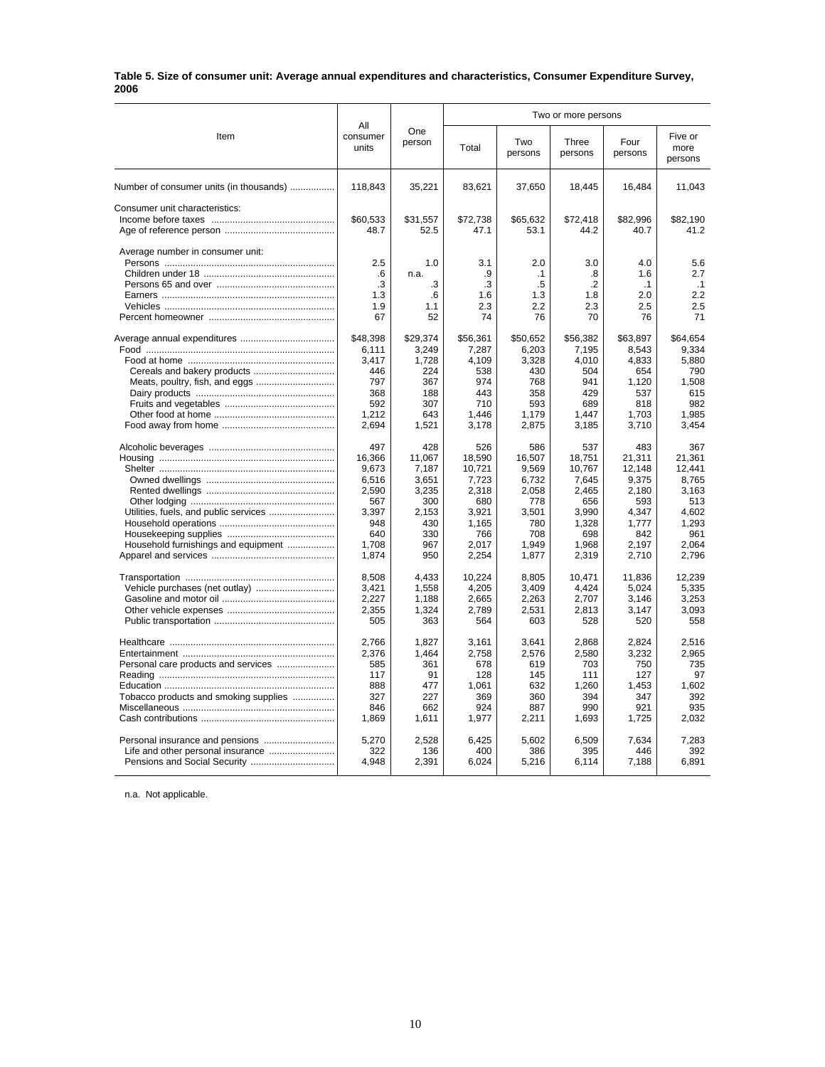#### **Table 5. Size of consumer unit: Average annual expenditures and characteristics, Consumer Expenditure Survey, 2006**

|                                         |                          |               |              | Two or more persons |                  |                 |                            |  |
|-----------------------------------------|--------------------------|---------------|--------------|---------------------|------------------|-----------------|----------------------------|--|
| Item                                    | All<br>consumer<br>units | One<br>person | Total        | Two<br>persons      | Three<br>persons | Four<br>persons | Five or<br>more<br>persons |  |
| Number of consumer units (in thousands) | 118,843                  | 35,221        | 83,621       | 37,650              | 18,445           | 16,484          | 11,043                     |  |
| Consumer unit characteristics:          |                          |               |              |                     |                  |                 |                            |  |
|                                         | \$60,533                 | \$31,557      | \$72,738     | \$65,632            | \$72,418         | \$82,996        | \$82,190                   |  |
|                                         | 48.7                     | 52.5          | 47.1         | 53.1                | 44.2             | 40.7            | 41.2                       |  |
| Average number in consumer unit:        |                          |               |              |                     |                  |                 |                            |  |
|                                         | 2.5                      | 1.0           | 3.1          | 2.0                 | 3.0              | 4.0             | 5.6                        |  |
|                                         | .6                       | n.a.          | .9           | $\cdot$ 1           | .8               | 1.6             | 2.7                        |  |
|                                         | .3                       | .3            | .3           | .5                  | $\cdot$          | $\cdot$ 1       | .1                         |  |
|                                         | 1.3                      | .6            | 1.6          | 1.3                 | 1.8              | 2.0             | 2.2                        |  |
|                                         | 1.9                      | 1.1           | 2.3          | 2.2                 | 2.3              | 2.5             | 2.5                        |  |
|                                         | 67                       | 52            | 74           | 76                  | 70               | 76              | 71                         |  |
|                                         | \$48,398                 | \$29,374      | \$56,361     | \$50,652            | \$56,382         | \$63,897        | \$64,654                   |  |
|                                         | 6,111                    | 3,249         | 7,287        | 6,203               | 7,195            | 8,543           | 9,334                      |  |
|                                         | 3,417                    | 1,728         | 4,109        | 3,328               | 4,010            | 4,833           | 5,880                      |  |
|                                         | 446                      | 224           | 538          | 430                 | 504              | 654             | 790                        |  |
| Meats, poultry, fish, and eggs          | 797                      | 367           | 974          | 768                 | 941              | 1,120           | 1,508                      |  |
|                                         | 368                      | 188           | 443          | 358                 | 429              | 537             | 615                        |  |
|                                         | 592                      | 307           | 710          | 593                 | 689              | 818             | 982                        |  |
|                                         | 1,212                    | 643           | 1,446        | 1,179               | 1,447            | 1,703           | 1,985                      |  |
|                                         | 2,694                    | 1,521         | 3,178        | 2,875               | 3,185            | 3,710           | 3,454                      |  |
|                                         | 497                      | 428           | 526          | 586                 | 537              | 483             | 367                        |  |
|                                         | 16,366                   | 11,067        | 18,590       | 16,507              | 18,751           | 21,311          | 21,361                     |  |
|                                         | 9,673                    | 7,187         | 10,721       | 9,569               | 10,767           | 12,148          | 12,441                     |  |
|                                         | 6,516                    | 3,651         | 7,723        | 6,732               | 7,645            | 9,375           | 8,765                      |  |
|                                         | 2,590                    | 3,235         | 2,318        | 2,058               | 2,465            | 2,180           | 3.163                      |  |
|                                         | 567                      | 300           | 680          | 778                 | 656              | 593             | 513                        |  |
| Utilities, fuels, and public services   | 3.397                    | 2,153         | 3.921        | 3,501               | 3.990            | 4.347           | 4.602                      |  |
|                                         | 948                      | 430           | 1,165        | 780                 | 1,328            | 1.777           | 1,293                      |  |
|                                         | 640<br>1,708             | 330<br>967    | 766<br>2,017 | 708<br>1,949        | 698<br>1,968     | 842<br>2,197    | 961<br>2,064               |  |
| Household furnishings and equipment     | 1,874                    | 950           | 2,254        | 1,877               | 2,319            | 2,710           | 2,796                      |  |
|                                         |                          |               |              |                     |                  |                 |                            |  |
|                                         | 8,508                    | 4,433         | 10,224       | 8,805               | 10,471           | 11,836          | 12,239                     |  |
|                                         | 3,421                    | 1,558         | 4,205        | 3,409               | 4.424            | 5,024           | 5.335                      |  |
|                                         | 2,227                    | 1,188         | 2,665        | 2,263               | 2,707            | 3,146           | 3,253                      |  |
|                                         | 2,355                    | 1,324         | 2,789        | 2,531               | 2.813            | 3,147           | 3.093                      |  |
|                                         | 505                      | 363           | 564          | 603                 | 528              | 520             | 558                        |  |
|                                         | 2,766                    | 1,827         | 3,161        | 3,641               | 2,868            | 2,824           | 2,516                      |  |
|                                         | 2,376                    | 1,464         | 2,758        | 2,576               | 2,580            | 3,232           | 2,965                      |  |
|                                         | 585                      | 361           | 678          | 619                 | 703              | 750             | 735                        |  |
|                                         | 117                      | 91            | 128          | 145                 | 111              | 127             | 97                         |  |
|                                         | 888                      | 477           | 1,061        | 632                 | 1,260            | 1,453           | 1,602                      |  |
| Tobacco products and smoking supplies   | 327                      | 227           | 369          | 360                 | 394              | 347             | 392                        |  |
|                                         | 846                      | 662           | 924          | 887                 | 990              | 921             | 935                        |  |
|                                         | 1,869                    | 1.611         | 1,977        | 2,211               | 1,693            | 1,725           | 2,032                      |  |
| Personal insurance and pensions         | 5.270                    | 2.528         | 6.425        | 5,602               | 6,509            | 7.634           | 7,283                      |  |
| Life and other personal insurance       | 322                      | 136           | 400          | 386                 | 395              | 446             | 392                        |  |
| Pensions and Social Security            | 4,948                    | 2,391         | 6,024        | 5,216               | 6,114            | 7,188           | 6,891                      |  |
|                                         |                          |               |              |                     |                  |                 |                            |  |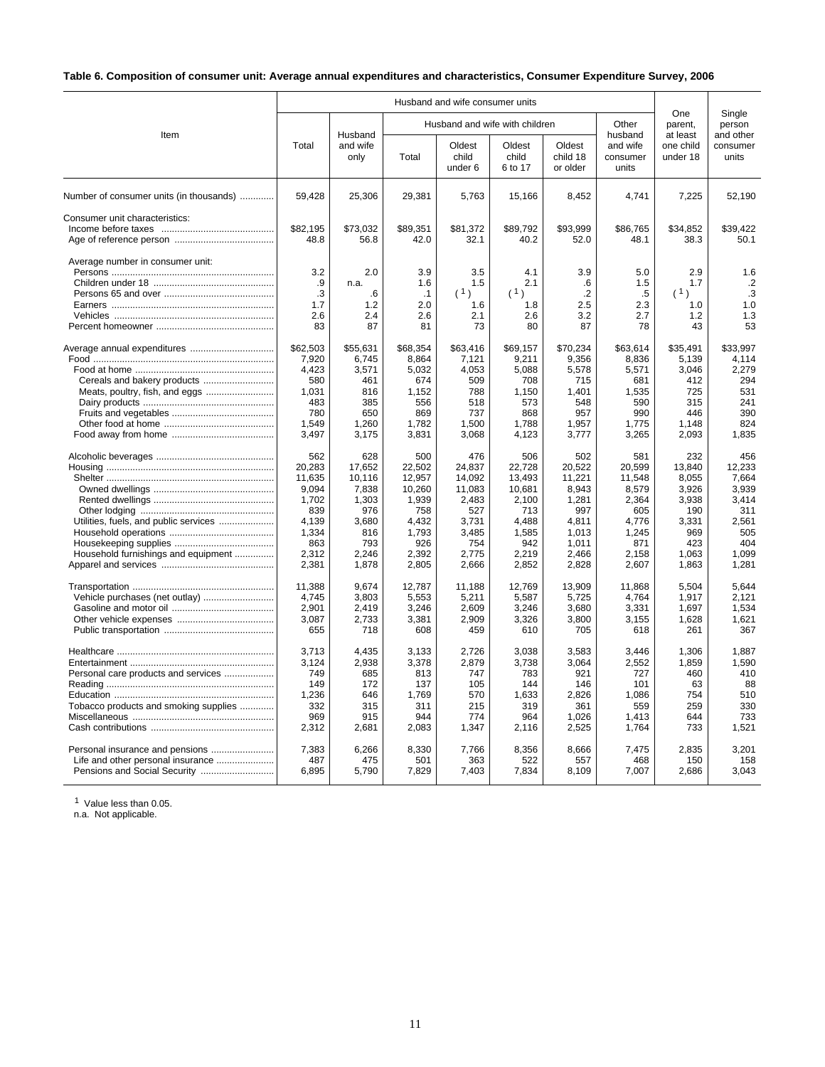# **Table 6. Composition of consumer unit: Average annual expenditures and characteristics, Consumer Expenditure Survey, 2006**

|                                                                              |                                                                                             |                                                                                           |                                                                                              | Husband and wife consumer units                                                              |                                                                                              |                                                                                               |                                                                                             |                                                                                          |                                                                                          |  |
|------------------------------------------------------------------------------|---------------------------------------------------------------------------------------------|-------------------------------------------------------------------------------------------|----------------------------------------------------------------------------------------------|----------------------------------------------------------------------------------------------|----------------------------------------------------------------------------------------------|-----------------------------------------------------------------------------------------------|---------------------------------------------------------------------------------------------|------------------------------------------------------------------------------------------|------------------------------------------------------------------------------------------|--|
| Item                                                                         |                                                                                             | Husband                                                                                   |                                                                                              |                                                                                              | Husband and wife with children                                                               |                                                                                               | Other<br>husband                                                                            | One<br>parent,<br>at least                                                               | Single<br>person<br>and other                                                            |  |
|                                                                              | Total                                                                                       | and wife<br>only                                                                          | Total                                                                                        | Oldest<br>child<br>under 6                                                                   | Oldest<br>child<br>6 to 17                                                                   | Oldest<br>child 18<br>or older                                                                | and wife<br>consumer<br>units                                                               | one child<br>under 18                                                                    | consumer<br>units                                                                        |  |
| Number of consumer units (in thousands)                                      | 59,428                                                                                      | 25,306                                                                                    | 29,381                                                                                       | 5,763                                                                                        | 15,166                                                                                       | 8,452                                                                                         | 4,741                                                                                       | 7,225                                                                                    | 52,190                                                                                   |  |
| Consumer unit characteristics:                                               | \$82,195<br>48.8                                                                            | \$73,032<br>56.8                                                                          | \$89,351<br>42.0                                                                             | \$81,372<br>32.1                                                                             | \$89,792<br>40.2                                                                             | \$93,999<br>52.0                                                                              | \$86,765<br>48.1                                                                            | \$34,852<br>38.3                                                                         | \$39,422<br>50.1                                                                         |  |
| Average number in consumer unit:                                             | 3.2<br>.9<br>.3<br>1.7<br>2.6<br>83                                                         | 2.0<br>n.a.<br>.6<br>1.2<br>2.4<br>87                                                     | 3.9<br>1.6<br>$\cdot$ 1<br>2.0<br>2.6<br>81                                                  | 3.5<br>1.5<br>(1)<br>1.6<br>2.1<br>73                                                        | 4.1<br>2.1<br>(1)<br>1.8<br>2.6<br>80                                                        | 3.9<br>.6<br>$\cdot$<br>2.5<br>3.2<br>87                                                      | 5.0<br>1.5<br>$.5\,$<br>2.3<br>2.7<br>78                                                    | 2.9<br>1.7<br>(1)<br>1.0<br>1.2<br>43                                                    | 1.6<br>$\cdot$<br>.3<br>1.0<br>1.3<br>53                                                 |  |
| Cereals and bakery products                                                  | \$62,503<br>7,920<br>4.423<br>580<br>1,031<br>483<br>780<br>1,549<br>3,497                  | \$55,631<br>6,745<br>3,571<br>461<br>816<br>385<br>650<br>1,260<br>3,175                  | \$68,354<br>8,864<br>5.032<br>674<br>1,152<br>556<br>869<br>1,782<br>3,831                   | \$63,416<br>7,121<br>4.053<br>509<br>788<br>518<br>737<br>1,500<br>3,068                     | \$69,157<br>9,211<br>5,088<br>708<br>1,150<br>573<br>868<br>1,788<br>4,123                   | \$70,234<br>9,356<br>5.578<br>715<br>1,401<br>548<br>957<br>1,957<br>3,777                    | \$63,614<br>8,836<br>5,571<br>681<br>1,535<br>590<br>990<br>1,775<br>3,265                  | \$35,491<br>5,139<br>3.046<br>412<br>725<br>315<br>446<br>1,148<br>2,093                 | \$33.997<br>4,114<br>2,279<br>294<br>531<br>241<br>390<br>824<br>1,835                   |  |
| Utilities, fuels, and public services<br>Household furnishings and equipment | 562<br>20,283<br>11,635<br>9,094<br>1,702<br>839<br>4,139<br>1,334<br>863<br>2,312<br>2,381 | 628<br>17,652<br>10,116<br>7,838<br>1,303<br>976<br>3,680<br>816<br>793<br>2,246<br>1,878 | 500<br>22,502<br>12,957<br>10,260<br>1,939<br>758<br>4,432<br>1,793<br>926<br>2,392<br>2,805 | 476<br>24,837<br>14,092<br>11,083<br>2,483<br>527<br>3,731<br>3,485<br>754<br>2,775<br>2,666 | 506<br>22,728<br>13,493<br>10,681<br>2,100<br>713<br>4,488<br>1,585<br>942<br>2,219<br>2,852 | 502<br>20.522<br>11,221<br>8,943<br>1,281<br>997<br>4,811<br>1,013<br>1.011<br>2,466<br>2,828 | 581<br>20.599<br>11,548<br>8,579<br>2,364<br>605<br>4,776<br>1,245<br>871<br>2,158<br>2,607 | 232<br>13,840<br>8,055<br>3,926<br>3,938<br>190<br>3,331<br>969<br>423<br>1,063<br>1,863 | 456<br>12,233<br>7,664<br>3,939<br>3,414<br>311<br>2,561<br>505<br>404<br>1,099<br>1,281 |  |
|                                                                              | 11,388<br>4,745<br>2,901<br>3,087<br>655                                                    | 9,674<br>3,803<br>2,419<br>2,733<br>718                                                   | 12,787<br>5,553<br>3,246<br>3,381<br>608                                                     | 11,188<br>5,211<br>2,609<br>2,909<br>459                                                     | 12,769<br>5,587<br>3,246<br>3,326<br>610                                                     | 13,909<br>5,725<br>3,680<br>3,800<br>705                                                      | 11,868<br>4,764<br>3,331<br>3,155<br>618                                                    | 5,504<br>1,917<br>1,697<br>1,628<br>261                                                  | 5,644<br>2,121<br>1,534<br>1,621<br>367                                                  |  |
| Personal care products and services<br>Tobacco products and smoking supplies | 3,713<br>3,124<br>749<br>149<br>1.236<br>332<br>969<br>2,312                                | 4,435<br>2,938<br>685<br>172<br>646<br>315<br>915<br>2,681                                | 3,133<br>3,378<br>813<br>137<br>1.769<br>311<br>944<br>2,083                                 | 2,726<br>2,879<br>747<br>105<br>570<br>215<br>774<br>1,347                                   | 3,038<br>3,738<br>783<br>144<br>1.633<br>319<br>964<br>2,116                                 | 3,583<br>3,064<br>921<br>146<br>2.826<br>361<br>1,026<br>2,525                                | 3,446<br>2,552<br>727<br>101<br>1.086<br>559<br>1,413<br>1,764                              | 1,306<br>1,859<br>460<br>63<br>754<br>259<br>644<br>733                                  | 1,887<br>1,590<br>410<br>88<br>510<br>330<br>733<br>1,521                                |  |
| Personal insurance and pensions                                              | 7,383<br>487<br>6,895                                                                       | 6,266<br>475<br>5,790                                                                     | 8,330<br>501<br>7,829                                                                        | 7,766<br>363<br>7,403                                                                        | 8,356<br>522<br>7,834                                                                        | 8,666<br>557<br>8,109                                                                         | 7,475<br>468<br>7,007                                                                       | 2,835<br>150<br>2,686                                                                    | 3,201<br>158<br>3,043                                                                    |  |

<sup>1</sup> Value less than 0.05.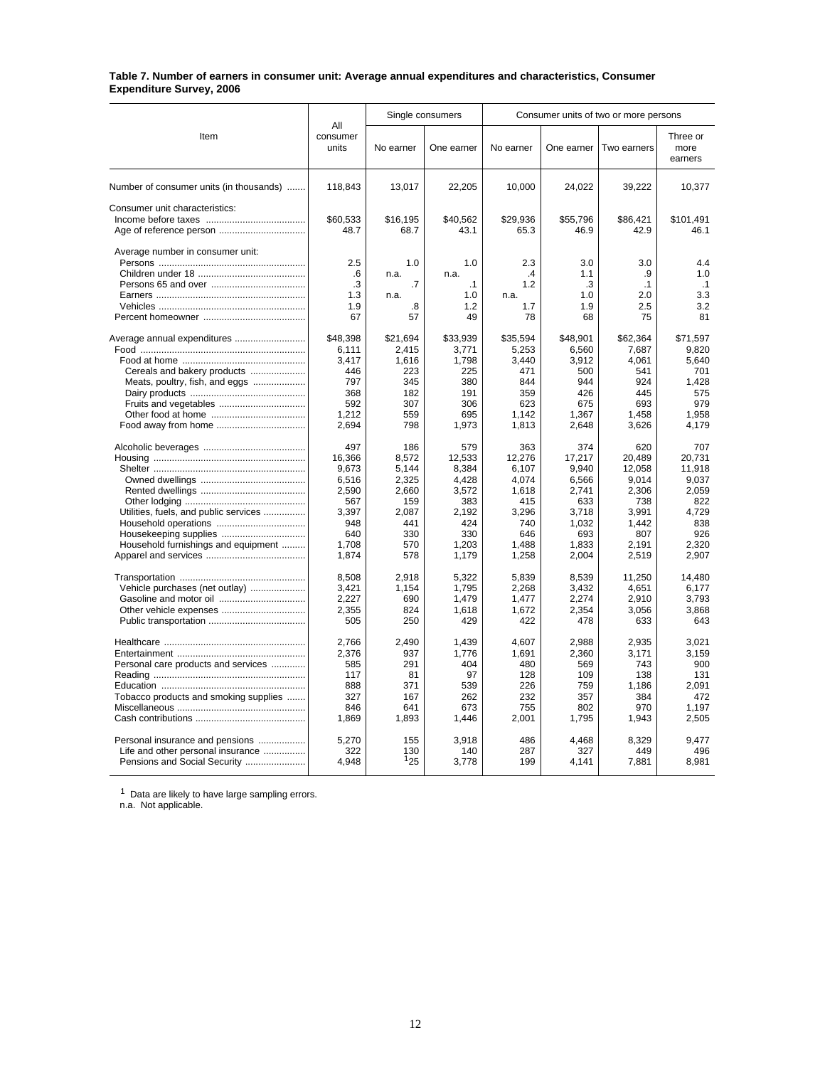#### **Table 7. Number of earners in consumer unit: Average annual expenditures and characteristics, Consumer Expenditure Survey, 2006**

|                                         |                          |            | Single consumers  |                      |            | Consumer units of two or more persons |                             |
|-----------------------------------------|--------------------------|------------|-------------------|----------------------|------------|---------------------------------------|-----------------------------|
| Item                                    | All<br>consumer<br>units | No earner  | One earner        | No earner            | One earner | Two earners                           | Three or<br>more<br>earners |
| Number of consumer units (in thousands) | 118.843                  | 13.017     | 22,205            | 10.000               | 24,022     | 39,222                                | 10,377                      |
| Consumer unit characteristics:          |                          |            |                   |                      |            |                                       |                             |
|                                         | \$60,533                 | \$16,195   | \$40,562          | \$29,936             | \$55,796   | \$86,421                              | \$101,491                   |
|                                         | 48.7                     | 68.7       | 43.1              | 65.3                 | 46.9       | 42.9                                  | 46.1                        |
| Average number in consumer unit:        |                          |            |                   |                      |            |                                       |                             |
|                                         | 2.5                      | 1.0        | 1.0               | 2.3                  | 3.0        | 3.0                                   | 4.4<br>1.0                  |
|                                         | .6<br>.3                 | n.a.<br>.7 | n.a.<br>$\cdot$ 1 | $\mathcal{A}$<br>1.2 | 1.1<br>.3  | .9                                    |                             |
|                                         | 1.3                      | n.a.       | 1.0               | n.a.                 | 1.0        | $\cdot$ 1<br>2.0                      | $\cdot$ 1<br>3.3            |
|                                         | 1.9                      | .8         | 1.2               | 1.7                  | 1.9        | 2.5                                   | 3.2                         |
|                                         | 67                       | 57         | 49                | 78                   | 68         | 75                                    | 81                          |
|                                         |                          |            |                   |                      |            |                                       |                             |
|                                         | \$48,398                 | \$21,694   | \$33,939          | \$35,594             | \$48,901   | \$62,364                              | \$71,597                    |
|                                         | 6.111                    | 2.415      | 3,771             | 5,253                | 6.560      | 7.687                                 | 9.820                       |
|                                         | 3.417                    | 1.616      | 1,798             | 3.440                | 3.912      | 4.061                                 | 5.640                       |
| Cereals and bakery products             | 446                      | 223        | 225               | 471                  | 500        | 541                                   | 701                         |
| Meats, poultry, fish, and eggs          | 797                      | 345        | 380               | 844                  | 944        | 924                                   | 1,428                       |
|                                         | 368                      | 182        | 191               | 359                  | 426        | 445                                   | 575                         |
| Fruits and vegetables                   | 592                      | 307        | 306               | 623                  | 675        | 693                                   | 979                         |
|                                         | 1.212                    | 559        | 695               | 1.142                | 1,367      | 1.458                                 | 1.958                       |
|                                         | 2.694                    | 798        | 1,973             | 1.813                | 2,648      | 3,626                                 | 4.179                       |
|                                         | 497                      | 186        | 579               | 363                  | 374        | 620                                   | 707                         |
|                                         | 16,366                   | 8,572      | 12,533            | 12,276               | 17,217     | 20,489                                | 20.731                      |
|                                         | 9.673                    | 5.144      | 8,384             | 6.107                | 9.940      | 12.058                                | 11.918                      |
|                                         | 6,516                    | 2,325      | 4.428             | 4.074                | 6.566      | 9,014                                 | 9.037                       |
|                                         | 2,590                    | 2,660      | 3,572             | 1,618                | 2,741      | 2,306                                 | 2,059                       |
|                                         | 567                      | 159        | 383               | 415                  | 633        | 738                                   | 822                         |
| Utilities, fuels, and public services   | 3,397                    | 2,087      | 2,192             | 3,296                | 3,718      | 3,991                                 | 4,729                       |
|                                         | 948                      | 441        | 424               | 740                  | 1,032      | 1,442                                 | 838                         |
| Housekeeping supplies                   | 640                      | 330        | 330               | 646                  | 693        | 807                                   | 926                         |
| Household furnishings and equipment     | 1.708                    | 570        | 1.203             | 1.488                | 1.833      | 2.191                                 | 2.320                       |
|                                         | 1,874                    | 578        | 1,179             | 1,258                | 2,004      | 2,519                                 | 2,907                       |
|                                         | 8,508                    | 2.918      | 5,322             | 5,839                | 8,539      | 11,250                                | 14,480                      |
| Vehicle purchases (net outlay)          | 3,421                    | 1.154      | 1.795             | 2,268                | 3.432      | 4.651                                 | 6.177                       |
|                                         | 2.227                    | 690        | 1,479             | 1.477                | 2.274      | 2,910                                 | 3.793                       |
|                                         | 2,355                    | 824        | 1,618             | 1,672                | 2,354      | 3,056                                 | 3,868                       |
|                                         | 505                      | 250        | 429               | 422                  | 478        | 633                                   | 643                         |
|                                         | 2,766                    | 2,490      | 1,439             | 4,607                | 2,988      | 2,935                                 | 3.021                       |
|                                         | 2.376                    | 937        | 1,776             | 1.691                | 2.360      | 3.171                                 | 3.159                       |
| Personal care products and services     | 585                      | 291        | 404               | 480                  | 569        | 743                                   | 900                         |
|                                         | 117                      | 81         | 97                | 128                  | 109        | 138                                   | 131                         |
|                                         | 888                      | 371        | 539               | 226                  | 759        | 1,186                                 | 2,091                       |
| Tobacco products and smoking supplies   | 327                      | 167        | 262               | 232                  | 357        | 384                                   | 472                         |
|                                         | 846                      | 641        | 673               | 755                  | 802        | 970                                   | 1.197                       |
|                                         | 1,869                    | 1,893      | 1,446             | 2,001                | 1,795      | 1,943                                 | 2,505                       |
| Personal insurance and pensions         | 5,270                    | 155        | 3,918             | 486                  | 4,468      | 8,329                                 | 9,477                       |
| Life and other personal insurance       | 322                      | 130        | 140               | 287                  | 327        | 449                                   | 496                         |
| Pensions and Social Security            | 4.948                    | 125        | 3,778             | 199                  | 4,141      | 7,881                                 | 8,981                       |
|                                         |                          |            |                   |                      |            |                                       |                             |

 $1$  Data are likely to have large sampling errors.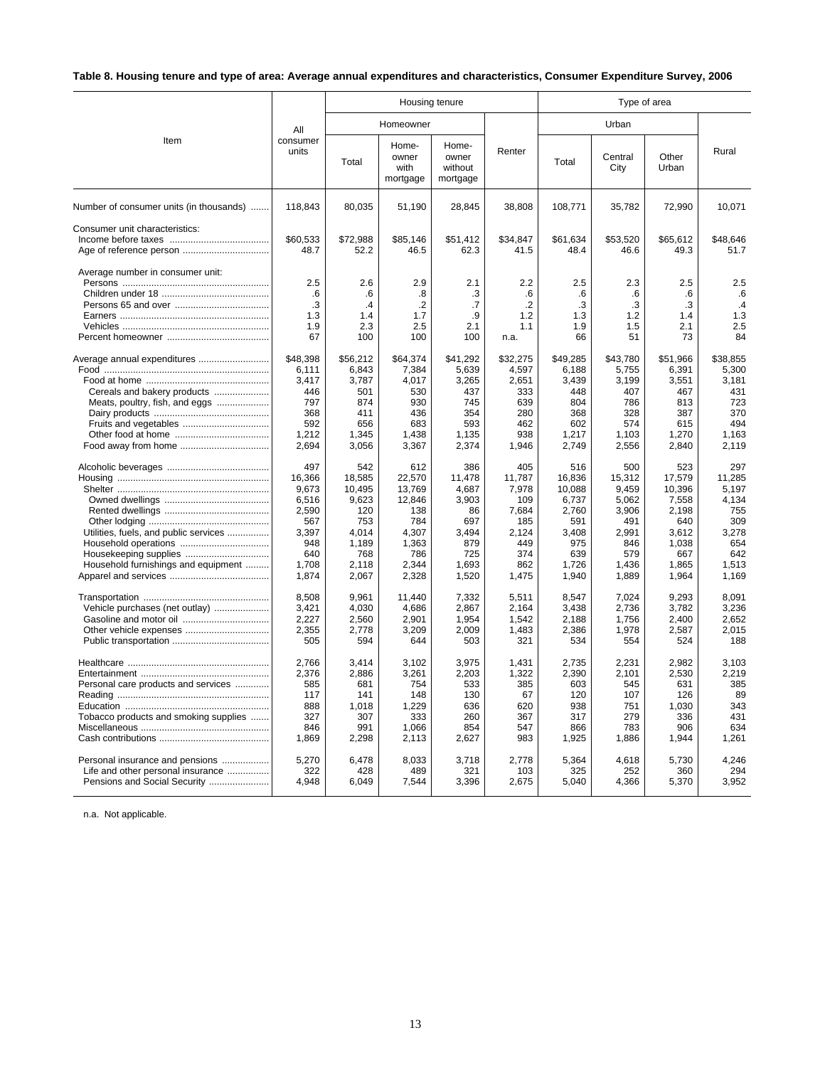# **Table 8. Housing tenure and type of area: Average annual expenditures and characteristics, Consumer Expenditure Survey, 2006**

|                                         |                   |                  | Housing tenure                     |                                       |                  |                  | Type of area     |                  |                  |
|-----------------------------------------|-------------------|------------------|------------------------------------|---------------------------------------|------------------|------------------|------------------|------------------|------------------|
|                                         | All               |                  | Homeowner                          |                                       |                  |                  | Urban            |                  |                  |
| Item                                    | consumer<br>units | Total            | Home-<br>owner<br>with<br>mortgage | Home-<br>owner<br>without<br>mortgage | Renter           | Total            | Central<br>City  | Other<br>Urban   | Rural            |
| Number of consumer units (in thousands) | 118,843           | 80,035           | 51,190                             | 28,845                                | 38,808           | 108,771          | 35,782           | 72,990           | 10,071           |
| Consumer unit characteristics:          | \$60,533<br>48.7  | \$72,988<br>52.2 | \$85,146<br>46.5                   | \$51,412<br>62.3                      | \$34,847<br>41.5 | \$61,634<br>48.4 | \$53,520<br>46.6 | \$65,612<br>49.3 | \$48,646<br>51.7 |
| Average number in consumer unit:        | 2.5               | 2.6              | 2.9                                | 2.1                                   | 2.2              | 2.5              | 2.3              | 2.5              | 2.5              |
|                                         | .6                | .6               | .8                                 | .3                                    | .6               | .6               | .6               | .6               | .6               |
|                                         | $\cdot$ 3         | .4               | $\cdot$                            | .7                                    | $\cdot$ .2       | .3               | $\cdot$ 3        | .3               | .4               |
|                                         | 1.3<br>1.9        | 1.4<br>2.3       | 1.7<br>2.5                         | .9<br>2.1                             | 1.2<br>1.1       | 1.3<br>1.9       | 1.2<br>1.5       | 1.4<br>2.1       | 1.3<br>2.5       |
|                                         | 67                | 100              | 100                                | 100                                   | n.a.             | 66               | 51               | 73               | 84               |
| Average annual expenditures             | \$48,398          | \$56,212         | \$64,374                           | \$41,292                              | \$32,275         | \$49,285         | \$43,780         | \$51,966         | \$38,855         |
|                                         | 6.111             | 6.843            | 7,384                              | 5,639                                 | 4,597            | 6,188            | 5,755            | 6,391            | 5.300            |
|                                         | 3,417             | 3,787            | 4,017                              | 3,265                                 | 2,651            | 3,439            | 3,199            | 3,551            | 3,181            |
| Cereals and bakery products             | 446               | 501              | 530                                | 437                                   | 333              | 448              | 407              | 467              | 431              |
| Meats, poultry, fish, and eggs          | 797               | 874              | 930                                | 745                                   | 639              | 804              | 786              | 813              | 723              |
|                                         | 368               | 411              | 436                                | 354                                   | 280              | 368              | 328              | 387              | 370              |
|                                         | 592               | 656              | 683                                | 593                                   | 462              | 602              | 574              | 615              | 494              |
|                                         | 1,212             | 1,345            | 1,438                              | 1,135                                 | 938              | 1,217            | 1,103            | 1,270            | 1,163            |
|                                         | 2,694             | 3,056            | 3,367                              | 2,374                                 | 1,946            | 2,749            | 2,556            | 2,840            | 2,119            |
|                                         | 497               | 542              | 612                                | 386                                   | 405              | 516              | 500              | 523              | 297              |
|                                         | 16,366            | 18,585           | 22,570                             | 11,478                                | 11,787           | 16,836           | 15,312           | 17,579           | 11,285           |
|                                         | 9,673             | 10,495           | 13.769                             | 4,687                                 | 7,978            | 10.088           | 9,459            | 10.396           | 5.197            |
|                                         | 6,516             | 9,623            | 12,846                             | 3,903                                 | 109              | 6,737            | 5,062            | 7,558            | 4,134            |
|                                         | 2,590             | 120              | 138                                | 86                                    | 7,684            | 2,760            | 3,906            | 2,198            | 755              |
|                                         | 567               | 753              | 784                                | 697                                   | 185              | 591              | 491              | 640              | 309              |
| Utilities, fuels, and public services   | 3,397             | 4,014            | 4,307                              | 3,494                                 | 2,124            | 3,408            | 2,991            | 3,612            | 3,278            |
|                                         | 948               | 1,189            | 1,363                              | 879                                   | 449              | 975              | 846              | 1.038            | 654              |
|                                         | 640               | 768              | 786                                | 725                                   | 374<br>862       | 639              | 579              | 667              | 642<br>1.513     |
| Household furnishings and equipment     | 1,708<br>1,874    | 2,118<br>2,067   | 2,344<br>2,328                     | 1,693<br>1,520                        | 1,475            | 1,726<br>1,940   | 1,436<br>1,889   | 1,865<br>1,964   | 1,169            |
|                                         | 8.508             | 9.961            | 11.440                             | 7,332                                 | 5.511            | 8.547            | 7.024            | 9.293            | 8.091            |
| Vehicle purchases (net outlay)          | 3.421             | 4.030            | 4.686                              | 2.867                                 | 2.164            | 3.438            | 2.736            | 3.782            | 3.236            |
|                                         | 2,227             | 2,560            | 2,901                              | 1,954                                 | 1,542            | 2,188            | 1,756            | 2,400            | 2,652            |
| Other vehicle expenses                  | 2,355             | 2,778            | 3,209                              | 2,009                                 | 1,483            | 2,386            | 1,978            | 2,587            | 2.015            |
|                                         | 505               | 594              | 644                                | 503                                   | 321              | 534              | 554              | 524              | 188              |
|                                         | 2,766             | 3.414            | 3,102                              | 3,975                                 | 1.431            | 2.735            | 2.231            | 2.982            | 3.103            |
|                                         | 2,376             | 2,886            | 3,261                              | 2,203                                 | 1,322            | 2,390            | 2,101            | 2,530            | 2,219            |
| Personal care products and services     | 585               | 681              | 754                                | 533                                   | 385              | 603              | 545              | 631              | 385              |
|                                         | 117               | 141              | 148                                | 130                                   | 67               | 120              | 107              | 126              | 89               |
|                                         | 888               | 1,018            | 1,229                              | 636                                   | 620              | 938              | 751              | 1,030            | 343              |
| Tobacco products and smoking supplies   | 327               | 307              | 333                                | 260                                   | 367              | 317              | 279              | 336              | 431              |
|                                         | 846               | 991              | 1,066                              | 854                                   | 547              | 866              | 783              | 906              | 634              |
|                                         | 1,869             | 2,298            | 2,113                              | 2,627                                 | 983              | 1,925            | 1,886            | 1,944            | 1,261            |
| Personal insurance and pensions         | 5,270             | 6,478            | 8,033                              | 3,718                                 | 2,778            | 5,364            | 4,618            | 5,730            | 4,246            |
| Life and other personal insurance       | 322               | 428              | 489                                | 321                                   | 103              | 325              | 252              | 360              | 294              |
| Pensions and Social Security            | 4,948             | 6,049            | 7,544                              | 3,396                                 | 2,675            | 5,040            | 4,366            | 5,370            | 3,952            |
|                                         |                   |                  |                                    |                                       |                  |                  |                  |                  |                  |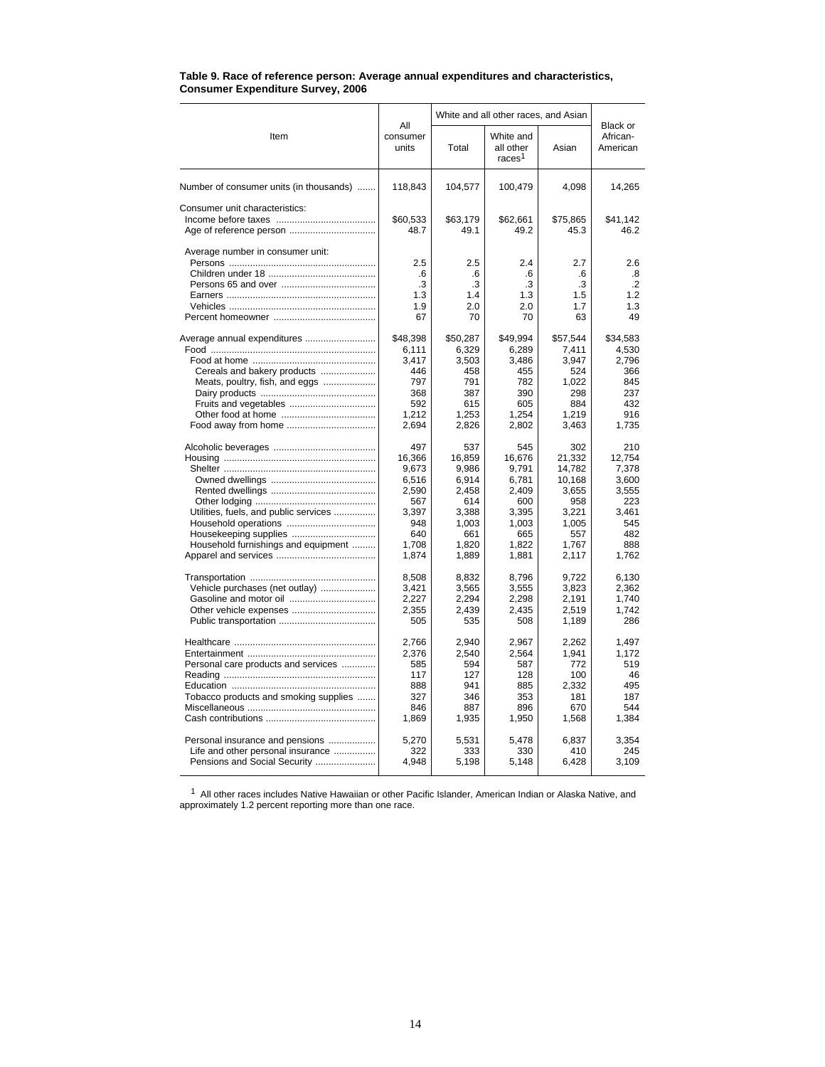|                                         |                                     | White and all other races, and Asian | Black or                                     |                                     |                                                 |  |
|-----------------------------------------|-------------------------------------|--------------------------------------|----------------------------------------------|-------------------------------------|-------------------------------------------------|--|
| Item                                    | All<br>consumer<br>units            | Total                                | White and<br>all other<br>races <sup>1</sup> | Asian                               | African-<br>American                            |  |
| Number of consumer units (in thousands) | 118,843                             | 104,577                              | 100,479                                      | 4,098                               | 14,265                                          |  |
| Consumer unit characteristics:          | \$60,533<br>48.7                    | \$63,179<br>49.1                     | \$62,661<br>49.2                             | \$75,865<br>45.3                    | \$41,142<br>46.2                                |  |
| Average number in consumer unit:        | 2.5<br>.6<br>.3<br>1.3<br>1.9<br>67 | 2.5<br>.6<br>.3<br>1.4<br>2.0<br>70  | 2.4<br>.6<br>.3<br>1.3<br>2.0<br>70          | 2.7<br>.6<br>.3<br>1.5<br>1.7<br>63 | 2.6<br>.8<br>$\overline{2}$<br>1.2<br>1.3<br>49 |  |
| Average annual expenditures             | \$48,398                            | \$50,287                             | \$49,994                                     | \$57,544                            | \$34,583                                        |  |
|                                         | 6.111                               | 6.329                                | 6.289                                        | 7.411                               | 4,530                                           |  |
|                                         | 3.417                               | 3,503                                | 3,486                                        | 3,947                               | 2,796                                           |  |
| Cereals and bakery products             | 446                                 | 458                                  | 455                                          | 524                                 | 366                                             |  |
| Meats, poultry, fish, and eggs          | 797                                 | 791                                  | 782                                          | 1,022                               | 845                                             |  |
|                                         | 368                                 | 387                                  | 390                                          | 298                                 | 237                                             |  |
|                                         | 592                                 | 615                                  | 605                                          | 884                                 | 432                                             |  |
|                                         | 1,212                               | 1,253                                | 1,254                                        | 1,219                               | 916                                             |  |
| Food away from home                     | 2,694                               | 2,826                                | 2,802                                        | 3,463                               | 1,735                                           |  |
|                                         | 497                                 | 537                                  | 545                                          | 302                                 | 210                                             |  |
|                                         | 16,366                              | 16,859                               | 16,676                                       | 21,332                              | 12,754                                          |  |
|                                         | 9,673                               | 9,986                                | 9,791                                        | 14,782                              | 7,378                                           |  |
|                                         | 6,516                               | 6,914                                | 6,781                                        | 10,168                              | 3,600                                           |  |
|                                         | 2,590                               | 2,458                                | 2,409                                        | 3,655                               | 3,555                                           |  |
|                                         | 567                                 | 614                                  | 600                                          | 958                                 | 223                                             |  |
| Utilities, fuels, and public services   | 3,397                               | 3,388                                | 3,395                                        | 3,221                               | 3,461                                           |  |
|                                         | 948                                 | 1,003                                | 1,003                                        | 1,005                               | 545                                             |  |
|                                         | 640                                 | 661                                  | 665                                          | 557                                 | 482                                             |  |
| Household furnishings and equipment     | 1,708                               | 1,820                                | 1,822                                        | 1,767                               | 888                                             |  |
|                                         | 1,874                               | 1,889                                | 1,881                                        | 2,117                               | 1,762                                           |  |
|                                         | 8,508                               | 8,832                                | 8,796                                        | 9,722                               | 6,130                                           |  |
| Vehicle purchases (net outlay)          | 3,421                               | 3,565                                | 3,555                                        | 3,823                               | 2,362                                           |  |
|                                         | 2,227                               | 2,294                                | 2,298                                        | 2,191                               | 1,740                                           |  |
|                                         | 2,355                               | 2,439                                | 2,435                                        | 2,519                               | 1,742                                           |  |
|                                         | 505                                 | 535                                  | 508                                          | 1,189                               | 286                                             |  |
|                                         | 2,766                               | 2,940                                | 2,967                                        | 2,262                               | 1,497                                           |  |
|                                         | 2,376                               | 2,540                                | 2,564                                        | 1.941                               | 1,172                                           |  |
| Personal care products and services     | 585                                 | 594                                  | 587                                          | 772                                 | 519                                             |  |
|                                         | 117                                 | 127                                  | 128                                          | 100                                 | 46                                              |  |
|                                         | 888                                 | 941                                  | 885                                          | 2.332                               | 495                                             |  |
| Tobacco products and smoking supplies   | 327                                 | 346                                  | 353                                          | 181                                 | 187                                             |  |
|                                         | 846                                 | 887                                  | 896                                          | 670                                 | 544                                             |  |
|                                         | 1,869                               | 1,935                                | 1,950                                        | 1,568                               | 1,384                                           |  |
| Personal insurance and pensions         | 5,270                               | 5,531                                | 5,478                                        | 6,837                               | 3,354                                           |  |
| Life and other personal insurance       | 322                                 | 333                                  | 330                                          | 410                                 | 245                                             |  |
| Pensions and Social Security            | 4,948                               | 5,198                                | 5,148                                        | 6,428                               | 3,109                                           |  |

#### **Table 9. Race of reference person: Average annual expenditures and characteristics, Consumer Expenditure Survey, 2006**

 $1$  All other races includes Native Hawaiian or other Pacific Islander, American Indian or Alaska Native, and approximately 1.2 percent reporting more than one race.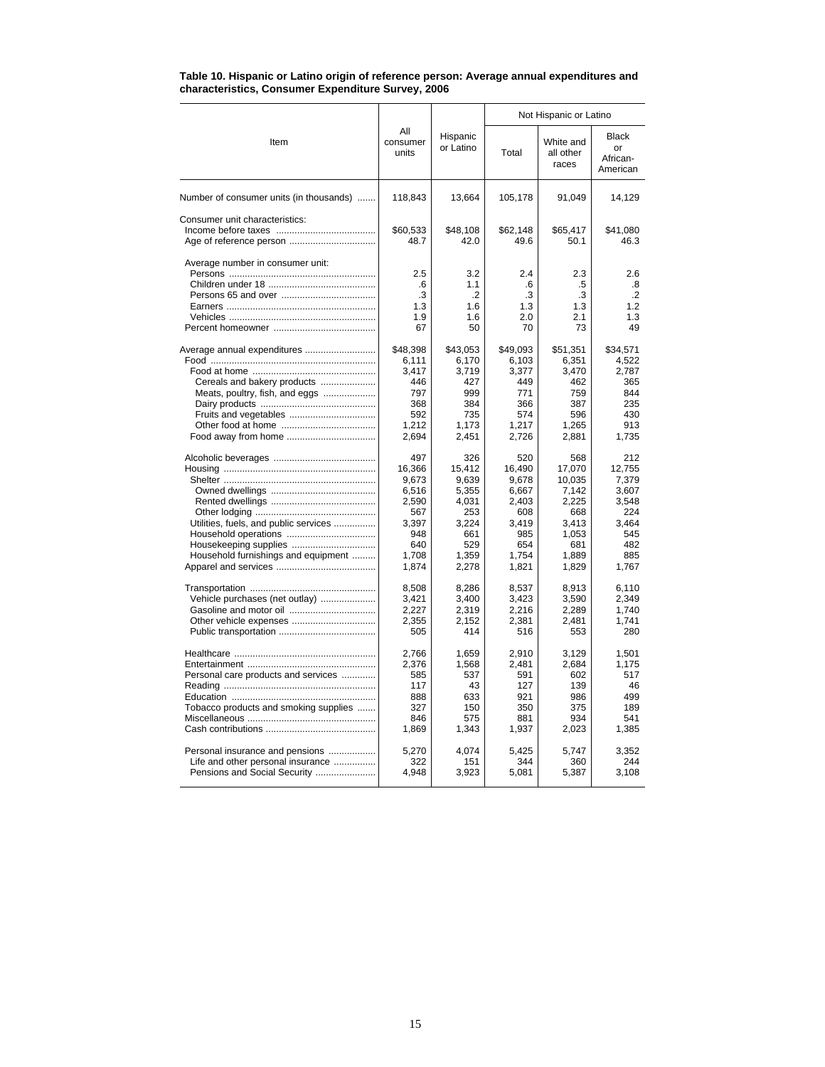|                                         |                                     |                                      | Not Hispanic or Latino              |                                     |                                     |  |
|-----------------------------------------|-------------------------------------|--------------------------------------|-------------------------------------|-------------------------------------|-------------------------------------|--|
| Item                                    | All<br>consumer<br>units            | Hispanic<br>or Latino                | Total                               | White and<br>all other<br>races     | Black<br>or<br>African-<br>American |  |
| Number of consumer units (in thousands) | 118,843                             | 13,664                               | 105,178                             | 91,049                              | 14,129                              |  |
| Consumer unit characteristics:          | \$60,533<br>48.7                    | \$48.108<br>42.0                     | \$62.148<br>49.6                    | \$65.417<br>50.1                    | \$41.080<br>46.3                    |  |
| Average number in consumer unit:        | 2.5<br>.6<br>.3<br>1.3<br>1.9<br>67 | 3.2<br>1.1<br>.2<br>1.6<br>1.6<br>50 | 2.4<br>.6<br>.3<br>1.3<br>2.0<br>70 | 2.3<br>.5<br>.3<br>1.3<br>2.1<br>73 | 2.6<br>.8<br>.2<br>1.2<br>1.3<br>49 |  |
| Average annual expenditures             | \$48,398                            | \$43,053                             | \$49,093                            | \$51,351                            | \$34,571                            |  |
|                                         | 6,111                               | 6,170                                | 6,103                               | 6,351                               | 4,522                               |  |
|                                         | 3.417                               | 3.719                                | 3,377                               | 3.470                               | 2.787                               |  |
| Cereals and bakery products             | 446                                 | 427                                  | 449                                 | 462                                 | 365                                 |  |
| Meats, poultry, fish, and eggs          | 797                                 | 999                                  | 771                                 | 759                                 | 844                                 |  |
|                                         | 368                                 | 384                                  | 366                                 | 387                                 | 235                                 |  |
|                                         | 592                                 | 735                                  | 574                                 | 596                                 | 430                                 |  |
|                                         | 1,212                               | 1.173                                | 1.217                               | 1,265                               | 913                                 |  |
|                                         | 2,694                               | 2,451                                | 2,726                               | 2,881                               | 1,735                               |  |
|                                         | 497                                 | 326                                  | 520                                 | 568                                 | 212                                 |  |
|                                         | 16,366                              | 15,412                               | 16,490                              | 17,070                              | 12,755                              |  |
|                                         | 9,673                               | 9,639                                | 9,678                               | 10,035                              | 7,379                               |  |
|                                         | 6,516                               | 5,355                                | 6,667                               | 7,142                               | 3,607                               |  |
|                                         | 2,590                               | 4,031                                | 2,403                               | 2,225                               | 3,548                               |  |
|                                         | 567                                 | 253                                  | 608                                 | 668                                 | 224                                 |  |
| Utilities, fuels, and public services   | 3,397                               | 3,224                                | 3,419                               | 3,413                               | 3,464                               |  |
|                                         | 948                                 | 661                                  | 985                                 | 1,053                               | 545                                 |  |
| Housekeeping supplies                   | 640                                 | 529                                  | 654                                 | 681                                 | 482                                 |  |
| Household furnishings and equipment     | 1,708                               | 1,359                                | 1.754                               | 1,889                               | 885                                 |  |
|                                         | 1,874                               | 2,278                                | 1,821                               | 1,829                               | 1,767                               |  |
|                                         | 8,508                               | 8,286                                | 8,537                               | 8,913                               | 6,110                               |  |
| Vehicle purchases (net outlay)          | 3,421                               | 3.400                                | 3,423                               | 3.590                               | 2.349                               |  |
|                                         | 2,227                               | 2,319                                | 2,216                               | 2,289                               | 1,740                               |  |
|                                         | 2,355                               | 2,152                                | 2,381                               | 2,481                               | 1,741                               |  |
|                                         | 505                                 | 414                                  | 516                                 | 553                                 | 280                                 |  |
|                                         | 2.766                               | 1.659                                | 2.910                               | 3.129                               | 1.501                               |  |
|                                         | 2,376                               | 1,568                                | 2,481                               | 2,684                               | 1,175                               |  |
| Personal care products and services     | 585                                 | 537                                  | 591                                 | 602                                 | 517                                 |  |
|                                         | 117                                 | 43                                   | 127                                 | 139                                 | 46                                  |  |
|                                         | 888                                 | 633                                  | 921                                 | 986                                 | 499                                 |  |
| Tobacco products and smoking supplies   | 327                                 | 150                                  | 350                                 | 375                                 | 189                                 |  |
|                                         | 846                                 | 575                                  | 881                                 | 934                                 | 541                                 |  |
|                                         | 1,869                               | 1,343                                | 1,937                               | 2,023                               | 1,385                               |  |
| Personal insurance and pensions         | 5,270                               | 4,074                                | 5,425                               | 5,747                               | 3,352                               |  |
| Life and other personal insurance       | 322                                 | 151                                  | 344                                 | 360                                 | 244                                 |  |
| Pensions and Social Security            | 4,948                               | 3,923                                | 5,081                               | 5,387                               | 3,108                               |  |

#### **Table 10. Hispanic or Latino origin of reference person: Average annual expenditures and characteristics, Consumer Expenditure Survey, 2006**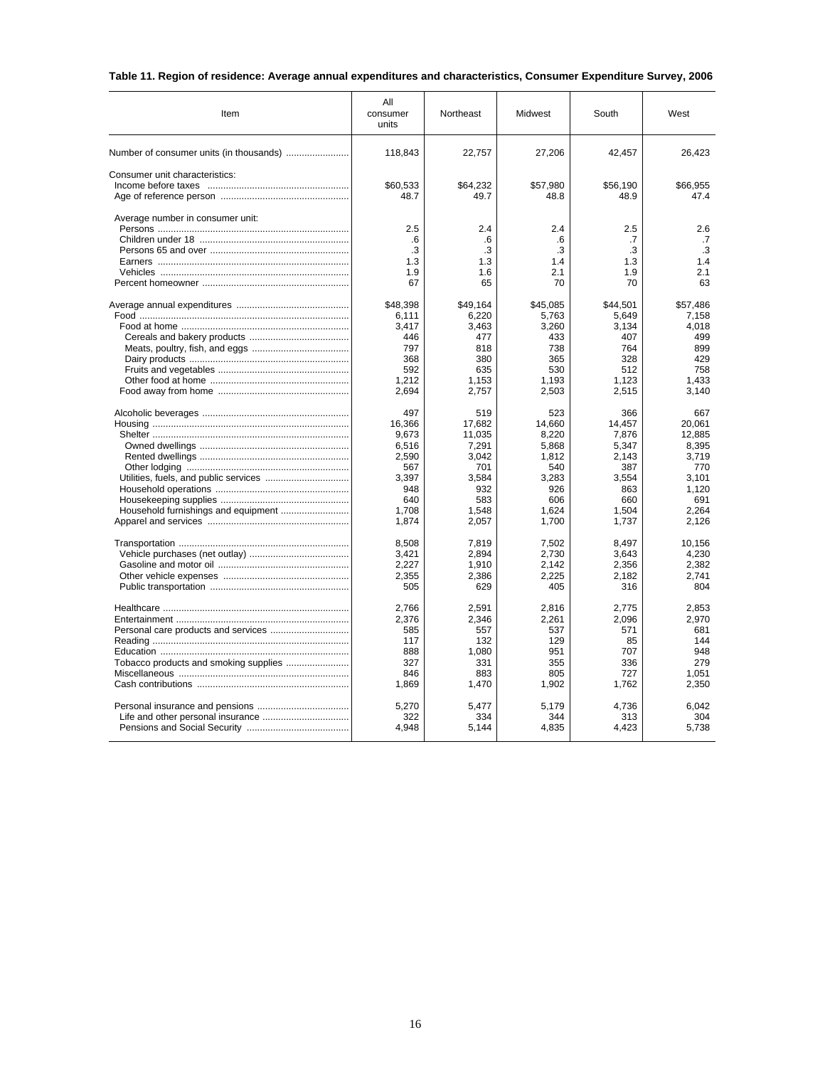# **Table 11. Region of residence: Average annual expenditures and characteristics, Consumer Expenditure Survey, 2006**

| Item                                    | All<br>consumer<br>units | Northeast  | Midwest    | South      | West       |
|-----------------------------------------|--------------------------|------------|------------|------------|------------|
| Number of consumer units (in thousands) | 118,843                  | 22,757     | 27,206     | 42,457     | 26,423     |
| Consumer unit characteristics:          |                          |            |            |            |            |
|                                         | \$60,533                 | \$64,232   | \$57,980   | \$56.190   | \$66.955   |
|                                         | 48.7                     | 49.7       | 48.8       | 48.9       | 47.4       |
| Average number in consumer unit:        |                          |            |            |            |            |
|                                         | 2.5                      | 2.4        | 2.4        | 2.5        | 2.6        |
|                                         | .6<br>.3                 | .6<br>.3   | .6<br>.3   | .7<br>.3   | .7<br>.3   |
|                                         | 1.3                      | 1.3        | 1.4        | 1.3        | 1.4        |
|                                         | 1.9                      | 1.6        | 2.1        | 1.9        | 2.1        |
|                                         | 67                       | 65         | 70         | 70         | 63         |
|                                         |                          |            |            |            |            |
|                                         | \$48,398                 | \$49,164   | \$45,085   | \$44,501   | \$57,486   |
|                                         | 6,111                    | 6,220      | 5,763      | 5,649      | 7,158      |
|                                         | 3,417                    | 3,463      | 3,260      | 3,134      | 4,018      |
|                                         | 446                      | 477        | 433        | 407        | 499        |
|                                         | 797<br>368               | 818<br>380 | 738<br>365 | 764<br>328 | 899<br>429 |
|                                         | 592                      | 635        | 530        | 512        | 758        |
|                                         | 1,212                    | 1,153      | 1,193      | 1,123      | 1,433      |
|                                         | 2,694                    | 2,757      | 2,503      | 2,515      | 3,140      |
|                                         | 497                      | 519        | 523        | 366        | 667        |
|                                         | 16,366                   | 17,682     | 14,660     | 14,457     | 20,061     |
|                                         | 9,673                    | 11,035     | 8,220      | 7,876      | 12,885     |
|                                         | 6,516                    | 7,291      | 5,868      | 5,347      | 8,395      |
|                                         | 2,590                    | 3,042      | 1,812      | 2,143      | 3,719      |
|                                         | 567                      | 701        | 540        | 387        | 770        |
|                                         | 3,397                    | 3,584      | 3,283      | 3,554      | 3,101      |
|                                         | 948                      | 932        | 926        | 863        | 1,120      |
|                                         | 640                      | 583        | 606        | 660        | 691        |
|                                         | 1.708                    | 1.548      | 1.624      | 1.504      | 2.264      |
|                                         | 1,874                    | 2,057      | 1,700      | 1,737      | 2,126      |
|                                         | 8,508                    | 7,819      | 7,502      | 8,497      | 10,156     |
|                                         | 3,421                    | 2,894      | 2,730      | 3,643      | 4,230      |
|                                         | 2,227                    | 1,910      | 2,142      | 2,356      | 2,382      |
|                                         | 2,355                    | 2,386      | 2,225      | 2,182      | 2,741      |
|                                         | 505                      | 629        | 405        | 316        | 804        |
|                                         | 2,766                    | 2,591      | 2,816      | 2,775      | 2,853      |
|                                         | 2,376                    | 2,346      | 2,261      | 2,096      | 2,970      |
|                                         | 585                      | 557        | 537        | 571        | 681        |
|                                         | 117                      | 132        | 129        | 85         | 144        |
|                                         | 888                      | 1,080      | 951        | 707        | 948        |
|                                         | 327                      | 331        | 355        | 336        | 279        |
|                                         | 846                      | 883        | 805        | 727        | 1.051      |
|                                         | 1,869                    | 1,470      | 1,902      | 1,762      | 2,350      |
|                                         | 5,270                    | 5,477      | 5,179      | 4,736      | 6,042      |
|                                         | 322                      | 334        | 344        | 313        | 304        |
|                                         | 4,948                    | 5,144      | 4,835      | 4,423      | 5,738      |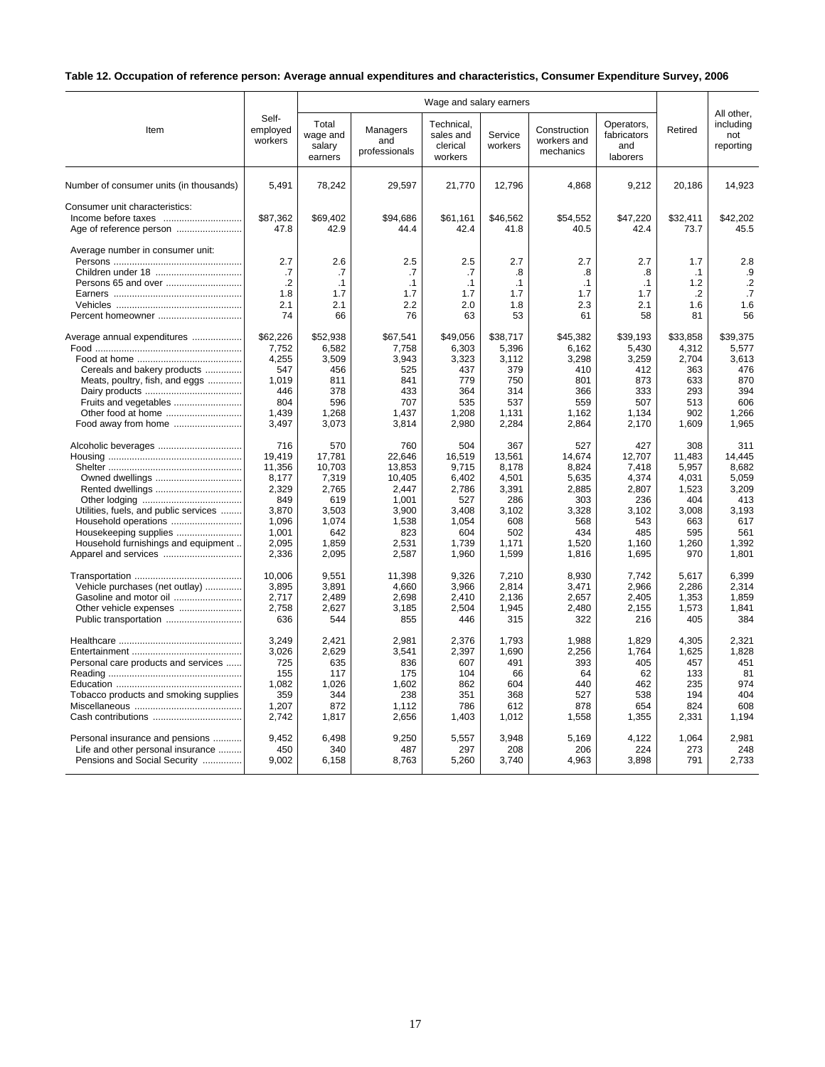# **Table 12. Occupation of reference person: Average annual expenditures and characteristics, Consumer Expenditure Survey, 2006**

|                                                                      |                              | Wage and salary earners                |                                  |                                                |                    |                                          |                                              |            | All other,                    |
|----------------------------------------------------------------------|------------------------------|----------------------------------------|----------------------------------|------------------------------------------------|--------------------|------------------------------------------|----------------------------------------------|------------|-------------------------------|
| Item                                                                 | Self-<br>employed<br>workers | Total<br>wage and<br>salary<br>earners | Managers<br>and<br>professionals | Technical.<br>sales and<br>clerical<br>workers | Service<br>workers | Construction<br>workers and<br>mechanics | Operators,<br>fabricators<br>and<br>laborers | Retired    | including<br>not<br>reporting |
| Number of consumer units (in thousands)                              | 5,491                        | 78,242                                 | 29,597                           | 21,770                                         | 12,796             | 4,868                                    | 9,212                                        | 20,186     | 14,923                        |
| Consumer unit characteristics:                                       | \$87,362                     | \$69,402                               | \$94,686                         | \$61,161                                       | \$46,562           | \$54,552                                 | \$47,220                                     | \$32,411   | \$42,202                      |
|                                                                      | 47.8                         | 42.9                                   | 44.4                             | 42.4                                           | 41.8               | 40.5                                     | 42.4                                         | 73.7       | 45.5                          |
| Average number in consumer unit:                                     | 2.7                          | 2.6                                    | 2.5                              | 2.5                                            | 2.7                | 2.7                                      | 2.7                                          | 1.7        | 2.8                           |
| Children under 18                                                    | .7                           | .7                                     | .7                               | .7                                             | .8                 | .8                                       | .8                                           | $\cdot$ 1  | .9                            |
|                                                                      | $\cdot$                      | .1                                     | .1                               | $\cdot$ 1                                      | $\cdot$ 1          | .1                                       | .1                                           | 1.2        | $\cdot$                       |
|                                                                      | 1.8                          | 1.7                                    | 1.7                              | 1.7                                            | 1.7                | 1.7                                      | 1.7                                          | .2         | .7                            |
|                                                                      | 2.1                          | 2.1                                    | 2.2                              | 2.0                                            | 1.8                | 2.3                                      | 2.1                                          | 1.6        | 1.6                           |
| Percent homeowner                                                    | 74                           | 66                                     | 76                               | 63                                             | 53                 | 61                                       | 58                                           | 81         | 56                            |
| Average annual expenditures                                          | \$62,226                     | \$52,938                               | \$67,541                         | \$49,056                                       | \$38,717           | \$45,382                                 | \$39,193                                     | \$33,858   | \$39,375                      |
|                                                                      | 7,752                        | 6,582                                  | 7,758                            | 6,303                                          | 5,396              | 6,162                                    | 5,430                                        | 4,312      | 5,577                         |
|                                                                      | 4,255                        | 3,509                                  | 3,943                            | 3,323                                          | 3,112              | 3,298                                    | 3,259                                        | 2,704      | 3,613                         |
| Cereals and bakery products                                          | 547<br>1,019                 | 456<br>811                             | 525<br>841                       | 437<br>779                                     | 379<br>750         | 410<br>801                               | 412<br>873                                   | 363<br>633 | 476<br>870                    |
| Meats, poultry, fish, and eggs                                       | 446                          | 378                                    | 433                              | 364                                            | 314                | 366                                      | 333                                          | 293        | 394                           |
|                                                                      | 804                          | 596                                    | 707                              | 535                                            | 537                |                                          | 507                                          | 513        | 606                           |
| Fruits and vegetables                                                | 1,439                        | 1,268                                  | 1,437                            | 1,208                                          | 1,131              | 559<br>1,162                             |                                              | 902        | 1,266                         |
| Other food at home<br>Food away from home                            | 3,497                        | 3,073                                  | 3,814                            | 2,980                                          | 2,284              | 2,864                                    | 1,134<br>2,170                               | 1,609      | 1,965                         |
|                                                                      |                              |                                        |                                  |                                                |                    |                                          |                                              |            |                               |
| Alcoholic beverages                                                  | 716                          | 570                                    | 760                              | 504                                            | 367                | 527                                      | 427                                          | 308        | 311                           |
|                                                                      | 19,419                       | 17,781                                 | 22.646                           | 16,519                                         | 13,561             | 14,674                                   | 12,707                                       | 11,483     | 14.445                        |
|                                                                      | 11,356                       | 10,703                                 | 13,853                           | 9,715                                          | 8,178              | 8,824                                    | 7,418                                        | 5,957      | 8,682                         |
|                                                                      | 8,177                        | 7,319                                  | 10,405                           | 6,402                                          | 4,501              | 5,635                                    | 4,374                                        | 4.031      | 5.059                         |
| Rented dwellings                                                     | 2,329                        | 2,765                                  | 2,447                            | 2,786                                          | 3,391              | 2,885                                    | 2,807                                        | 1,523      | 3,209                         |
|                                                                      | 849                          | 619                                    | 1,001                            | 527                                            | 286                | 303                                      | 236                                          | 404        | 413                           |
| Utilities, fuels, and public services                                | 3,870                        | 3,503                                  | 3,900                            | 3,408                                          | 3,102              | 3,328                                    | 3,102                                        | 3,008      | 3,193                         |
| Household operations                                                 | 1,096                        | 1,074                                  | 1,538                            | 1,054                                          | 608                | 568                                      | 543                                          | 663        | 617                           |
| Housekeeping supplies                                                | 1,001                        | 642                                    | 823                              | 604                                            | 502                | 434                                      | 485                                          | 595        | 561                           |
| Household furnishings and equipment                                  | 2.095                        | 1,859                                  | 2,531                            | 1,739                                          | 1,171              | 1,520                                    | 1,160                                        | 1,260      | 1.392                         |
| Apparel and services                                                 | 2,336                        | 2,095                                  | 2,587                            | 1,960                                          | 1,599              | 1,816                                    | 1,695                                        | 970        | 1,801                         |
|                                                                      | 10.006                       | 9.551                                  | 11,398                           | 9.326                                          | 7,210              | 8.930                                    | 7.742                                        | 5.617      | 6.399                         |
| Vehicle purchases (net outlay)                                       | 3,895                        | 3,891                                  | 4,660                            | 3,966                                          | 2,814              | 3,471                                    | 2,966                                        | 2,286      | 2,314                         |
| Gasoline and motor oil                                               | 2,717                        | 2,489                                  | 2,698                            | 2,410                                          | 2,136              | 2,657                                    | 2,405                                        | 1,353      | 1,859                         |
| Other vehicle expenses                                               | 2,758                        | 2,627                                  | 3,185                            | 2,504                                          | 1,945              | 2,480                                    | 2,155                                        | 1,573      | 1,841                         |
|                                                                      | 636                          | 544                                    | 855                              | 446                                            | 315                | 322                                      | 216                                          | 405        | 384                           |
|                                                                      | 3,249                        | 2,421                                  | 2,981                            | 2,376                                          | 1,793              | 1,988                                    | 1,829                                        | 4,305      | 2,321                         |
|                                                                      | 3,026                        | 2,629                                  | 3,541                            | 2,397                                          | 1,690              | 2,256                                    | 1,764                                        | 1,625      | 1,828                         |
| Personal care products and services                                  | 725                          | 635                                    | 836                              | 607                                            | 491                | 393                                      | 405                                          | 457        | 451                           |
|                                                                      | 155                          | 117                                    | 175                              | 104                                            | 66                 | 64                                       | 62                                           | 133        | 81                            |
|                                                                      | 1,082                        | 1,026                                  | 1,602                            | 862                                            | 604                | 440                                      | 462                                          | 235        | 974                           |
| Tobacco products and smoking supplies                                | 359                          | 344                                    | 238                              | 351                                            | 368                | 527                                      | 538                                          | 194        | 404                           |
|                                                                      | 1,207                        | 872                                    | 1,112                            | 786                                            | 612                | 878                                      | 654                                          | 824        | 608                           |
|                                                                      | 2,742                        | 1,817                                  | 2,656                            | 1,403                                          | 1,012              | 1,558                                    | 1,355                                        | 2,331      | 1,194                         |
|                                                                      | 9,452                        | 6,498                                  | 9,250                            |                                                | 3,948              | 5,169                                    | 4,122                                        | 1,064      | 2,981                         |
| Personal insurance and pensions<br>Life and other personal insurance | 450                          | 340                                    | 487                              | 5,557<br>297                                   | 208                | 206                                      | 224                                          | 273        | 248                           |
|                                                                      | 9.002                        |                                        |                                  |                                                |                    |                                          |                                              | 791        | 2,733                         |
| Pensions and Social Security                                         |                              | 6,158                                  | 8,763                            | 5,260                                          | 3,740              | 4,963                                    | 3,898                                        |            |                               |